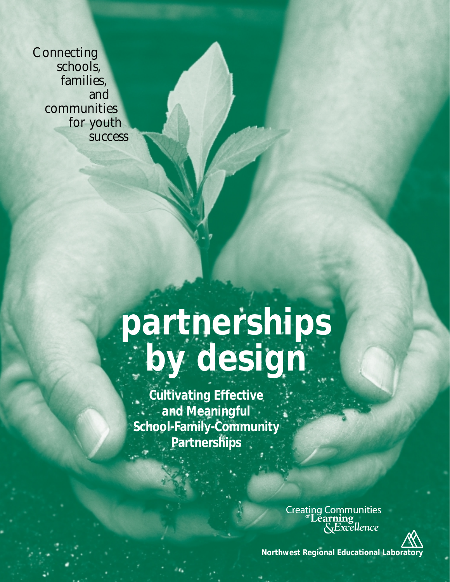**Connecting** schools, families, and communities for youth success

## **partnerships by design**

**Cultivating Effective and Meaningful School-Family-Community Partnerships**

> **Creating Communities** arning<br>&Excellence

**Northwest Regional Educational Laboratory**

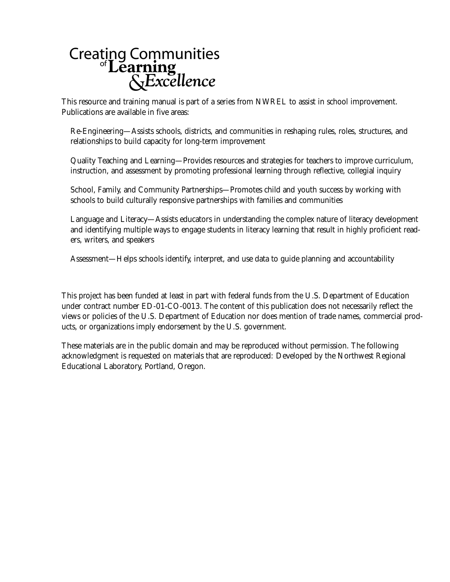# Creating Communities<br>
Learning
SExcellence

Containt

This resource and training manual is part of a series from NWREL to assist in school improvement. Publications are available in five areas:

Re-Engineering—Assists schools, districts, and communities in reshaping rules, roles, structures, and relationships to build capacity for long-term improvement

Quality Teaching and Learning—Provides resources and strategies for teachers to improve curriculum, instruction, and assessment by promoting professional learning through reflective, collegial inquiry

School, Family, and Community Partnerships—Promotes child and youth success by working with schools to build culturally responsive partnerships with families and communities

Language and Literacy—Assists educators in understanding the complex nature of literacy development and identifying multiple ways to engage students in literacy learning that result in highly proficient readers, writers, and speakers

Assessment—Helps schools identify, interpret, and use data to guide planning and accountability

This project has been funded at least in part with federal funds from the U.S. Department of Education under contract number ED-01-CO-0013. The content of this publication does not necessarily reflect the views or policies of the U.S. Department of Education nor does mention of trade names, commercial products, or organizations imply endorsement by the U.S. government.

These materials are in the public domain and may be reproduced without permission. The following acknowledgment is requested on materials that are reproduced: Developed by the Northwest Regional Educational Laboratory, Portland, Oregon.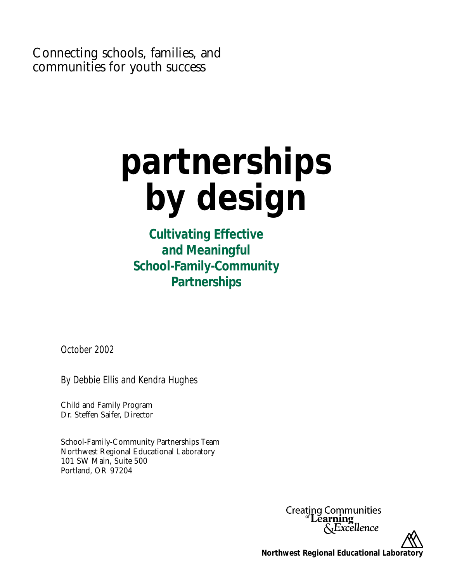Connecting schools, families, and communities for youth success

## **partnerships by design**

## **Cultivating Effective and Meaningful School-Family-Community Partnerships**

October 2002

By Debbie Ellis and Kendra Hughes

Child and Family Program Dr. Steffen Saifer, Director

School-Family-Community Partnerships Team Northwest Regional Educational Laboratory 101 SW Main, Suite 500 Portland, OR 97204

> **Creating Communities** L**éarning**<br>&Excellence

**Northwest Regional Educational Laboratory**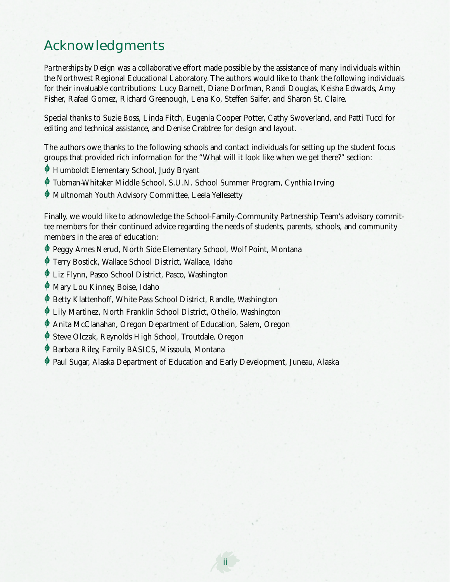## <span id="page-3-0"></span>Acknowledgments

*Partnerships by Design* was a collaborative effort made possible by the assistance of many individuals within the Northwest Regional Educational Laboratory. The authors would like to thank the following individuals for their invaluable contributions: Lucy Barnett, Diane Dorfman, Randi Douglas, Keisha Edwards, Amy Fisher, Rafael Gomez, Richard Greenough, Lena Ko, Steffen Saifer, and Sharon St. Claire.

Special thanks to Suzie Boss, Linda Fitch, Eugenia Cooper Potter, Cathy Swoverland, and Patti Tucci for editing and technical assistance, and Denise Crabtree for design and layout.

The authors owe thanks to the following schools and contact individuals for setting up the student focus groups that provided rich information for the "What will it look like when we get there?" section:

- P Humboldt Elementary School, Judy Bryant
- P Tubman-Whitaker Middle School, S.U.N. School Summer Program, Cynthia Irving
- P Multnomah Youth Advisory Committee, Leela Yellesetty

Finally, we would like to acknowledge the School-Family-Community Partnership Team's advisory committee members for their continued advice regarding the needs of students, parents, schools, and community members in the area of education:

- P Peggy Ames Nerud, North Side Elementary School, Wolf Point, Montana
- P Terry Bostick, Wallace School District, Wallace, Idaho
- P Liz Flynn, Pasco School District, Pasco, Washington
- P Mary Lou Kinney, Boise, Idaho
- P Betty Klattenhoff, White Pass School District, Randle, Washington
- P Lily Martinez, North Franklin School District, Othello, Washington
- P Anita McClanahan, Oregon Department of Education, Salem, Oregon
- P Steve Olczak, Reynolds High School, Troutdale, Oregon
- P Barbara Riley, Family BASICS, Missoula, Montana
- P Paul Sugar, Alaska Department of Education and Early Development, Juneau, Alaska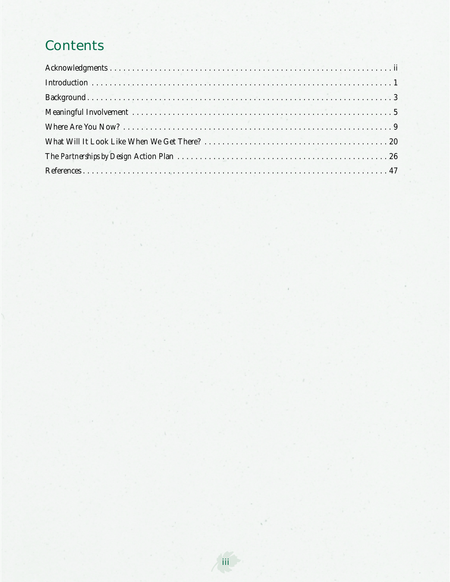## **Contents**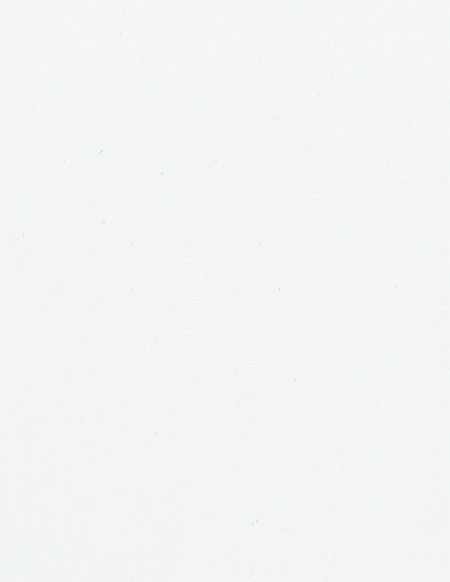$\mathbf{r}$  .  $\mathbf{h}^{(1)}$  $\mathbf{r}$  $\alpha$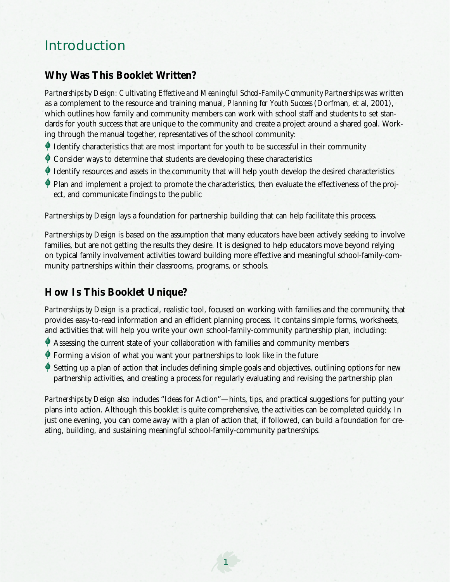## <span id="page-6-0"></span>Introduction

#### **Why Was This Booklet Written?**

*Partnerships by Design: Cultivating Effective and Meaningful School-Family-Community Partnerships* was written as a complement to the resource and training manual, *Planning for Youth Success* (Dorfman, et al, 2001), which outlines how family and community members can work with school staff and students to set standards for youth success that are unique to the community and create a project around a shared goal. Working through the manual together, representatives of the school community:

- P Identify characteristics that are most important for youth to be successful in their community
- P Consider ways to determine that students are developing these characteristics
- P Identify resources and assets in the community that will help youth develop the desired characteristics
- Plan and implement a project to promote the characteristics, then evaluate the effectiveness of the project, and communicate findings to the public

*Partnerships by Design* lays a foundation for partnership building that can help facilitate this process.

*Partnerships by Design* is based on the assumption that many educators have been actively seeking to involve families, but are not getting the results they desire. It is designed to help educators move beyond relying on typical family involvement activities toward building more effective and meaningful school-family-community partnerships within their classrooms, programs, or schools.

#### **How Is This Booklet Unique?**

*Partnerships by Design* is a practical, realistic tool, focused on working with families and the community, that provides easy-to-read information and an efficient planning process. It contains simple forms, worksheets, and activities that will help you write your own school-family-community partnership plan, including:

- P Assessing the current state of your collaboration with families and community members
- P Forming a vision of what you want your partnerships to look like in the future
- P Setting up a plan of action that includes defining simple goals and objectives, outlining options for new partnership activities, and creating a process for regularly evaluating and revising the partnership plan

*Partnerships by Design* also includes "Ideas for Action"—hints, tips, and practical suggestions for putting your plans into action. Although this booklet is quite comprehensive, the activities can be completed quickly. In just one evening, you can come away with a plan of action that, if followed, can build a foundation for creating, building, and sustaining meaningful school-family-community partnerships.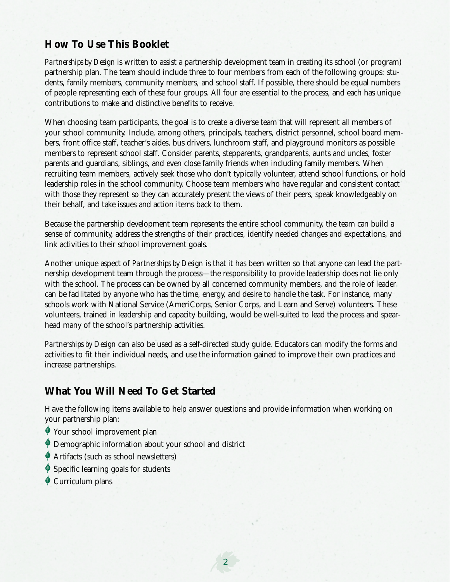#### **How To Use This Booklet**

*Partnerships by Design* is written to assist a partnership development team in creating its school (or program) partnership plan. The team should include three to four members from each of the following groups: students, family members, community members, and school staff. If possible, there should be equal numbers of people representing each of these four groups. All four are essential to the process, and each has unique contributions to make and distinctive benefits to receive.

When choosing team participants, the goal is to create a diverse team that will represent all members of your school community. Include, among others, principals, teachers, district personnel, school board members, front office staff, teacher's aides, bus drivers, lunchroom staff, and playground monitors as possible members to represent school staff. Consider parents, stepparents, grandparents, aunts and uncles, foster parents and guardians, siblings, and even close family friends when including family members. When recruiting team members, actively seek those who don't typically volunteer, attend school functions, or hold leadership roles in the school community. Choose team members who have regular and consistent contact with those they represent so they can accurately present the views of their peers, speak knowledgeably on their behalf, and take issues and action items back to them.

Because the partnership development team represents the entire school community, the team can build a sense of community, address the strengths of their practices, identify needed changes and expectations, and link activities to their school improvement goals.

Another unique aspect of *Partnerships by Design* is that it has been written so that anyone can lead the partnership development team through the process—the responsibility to provide leadership does not lie only with the school. The process can be owned by all concerned community members, and the role of leader can be facilitated by anyone who has the time, energy, and desire to handle the task. For instance, many schools work with National Service (AmeriCorps, Senior Corps, and Learn and Serve) volunteers. These volunteers, trained in leadership and capacity building, would be well-suited to lead the process and spearhead many of the school's partnership activities.

*Partnerships by Design* can also be used as a self-directed study guide. Educators can modify the forms and activities to fit their individual needs, and use the information gained to improve their own practices and increase partnerships.

#### **What You Will Need To Get Started**

Have the following items available to help answer questions and provide information when working on your partnership plan:

- P Your school improvement plan
- P Demographic information about your school and district
- P Artifacts (such as school newsletters)
- P Specific learning goals for students
- Curriculum plans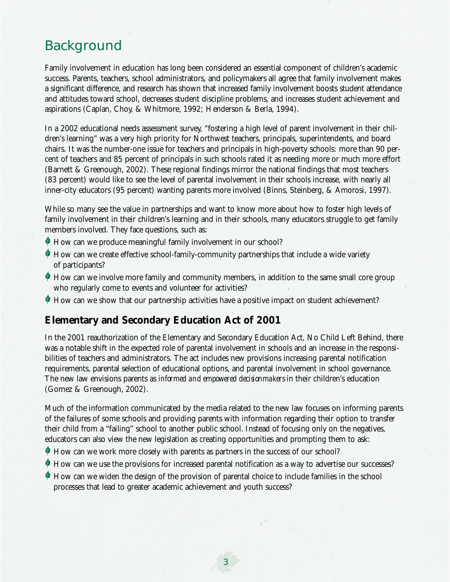## <span id="page-8-0"></span>**Background**

Family involvement in education has long been considered an essential component of children's academic success. Parents, teachers, school administrators, and policymakers all agree that family involvement makes a significant difference, and research has shown that increased family involvement boosts student attendance and attitudes toward school, decreases student discipline problems, and increases student achievement and aspirations (Caplan, Choy, & Whitmore, 1992; Henderson & Berla, 1994).

In a 2002 educational needs assessment survey, "fostering a high level of parent involvement in their children's learning" was a very high priority for Northwest teachers, principals, superintendents, and board chairs. It was the number-one issue for teachers and principals in high-poverty schools: more than 90 percent of teachers and 85 percent of principals in such schools rated it as needing more or much more effort (Barnett & Greenough, 2002). These regional findings mirror the national findings that most teachers (83 percent) would like to see the level of parental involvement in their schools increase, with nearly all inner-city educators (95 percent) wanting parents more involved (Binns, Steinberg, & Amorosi, 1997).

While so many see the value in partnerships and want to know more about how to foster high levels of family involvement in their children's learning and in their schools, many educators struggle to get family members involved. They face questions, such as:

- P How can we produce meaningful family involvement in our school?
- P How can we create effective school-family-community partnerships that include a wide variety of participants?
- P How can we involve more family and community members, in addition to the same small core group who regularly come to events and volunteer for activities?
- P How can we show that our partnership activities have a positive impact on student achievement?

#### **Elementary and Secondary Education Act of 2001**

In the 2001 reauthorization of the Elementary and Secondary Education Act, No Child Left Behind, there was a notable shift in the expected role of parental involvement in schools and an increase in the responsibilities of teachers and administrators. The act includes new provisions increasing parental notification requirements, parental selection of educational options, and parental involvement in school governance. The new law envisions parents as *informed and empowered decisionmakers* in their children's education (Gomez & Greenough, 2002).

Much of the information communicated by the media related to the new law focuses on informing parents of the failures of some schools and providing parents with information regarding their option to transfer their child from a "failing" school to another public school. Instead of focusing only on the negatives, educators can also view the new legislation as creating opportunities and prompting them to ask:

- P How can we work more closely with parents as partners in the success of our school?
- P How can we use the provisions for increased parental notification as a way to advertise our successes?
- P How can we widen the design of the provision of parental choice to include families in the school processes that lead to greater academic achievement and youth success?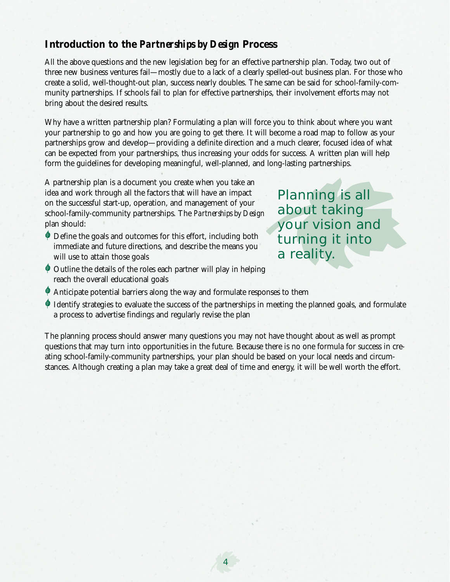#### **Introduction to the** *Partnerships by Design* **Process**

All the above questions and the new legislation beg for an effective partnership plan. Today, two out of three new business ventures fail—mostly due to a lack of a clearly spelled-out business plan. For those who create a solid, well-thought-out plan, success nearly doubles. The same can be said for school-family-community partnerships. If schools fail to plan for effective partnerships, their involvement efforts may not bring about the desired results.

Why have a written partnership plan? Formulating a plan will force you to think about where you want your partnership to go and how you are going to get there. It will become a road map to follow as your partnerships grow and develop—providing a definite direction and a much clearer, focused idea of what can be expected from your partnerships, thus increasing your odds for success. A written plan will help form the guidelines for developing meaningful, well-planned, and long-lasting partnerships.

A partnership plan is a document you create when you take an idea and work through all the factors that will have an impact on the successful start-up, operation, and management of your school-family-community partnerships. The *Partnerships by Design* plan should:

- **P** Define the goals and outcomes for this effort, including both immediate and future directions, and describe the means you will use to attain those goals
- P Outline the details of the roles each partner will play in helping reach the overall educational goals
- P Anticipate potential barriers along the way and formulate responses to them
- P Identify strategies to evaluate the success of the partnerships in meeting the planned goals, and formulate a process to advertise findings and regularly revise the plan

The planning process should answer many questions you may not have thought about as well as prompt questions that may turn into opportunities in the future. Because there is no one formula for success in creating school-family-community partnerships, your plan should be based on your local needs and circumstances. Although creating a plan may take a great deal of time and energy, it will be well worth the effort.

Planning is all about taking your vision and turning it into a reality.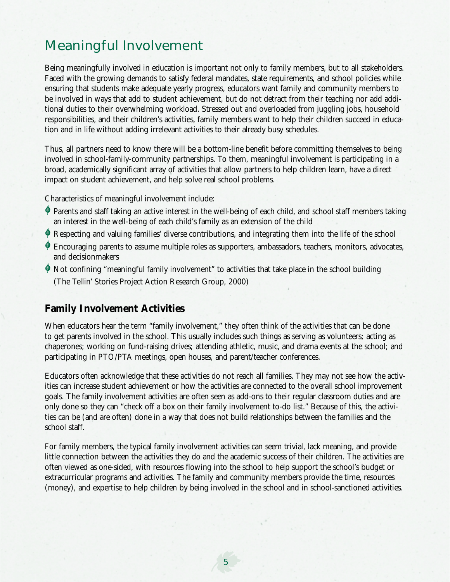## <span id="page-10-0"></span>Meaningful Involvement

Being meaningfully involved in education is important not only to family members, but to all stakeholders. Faced with the growing demands to satisfy federal mandates, state requirements, and school policies while ensuring that students make adequate yearly progress, educators want family and community members to be involved in ways that add to student achievement, but do not detract from their teaching nor add additional duties to their overwhelming workload. Stressed out and overloaded from juggling jobs, household responsibilities, and their children's activities, family members want to help their children succeed in education and in life without adding irrelevant activities to their already busy schedules.

Thus, all partners need to know there will be a bottom-line benefit before committing themselves to being involved in school-family-community partnerships. To them, meaningful involvement is participating in a broad, academically significant array of activities that allow partners to help children learn, have a direct impact on student achievement, and help solve real school problems.

Characteristics of meaningful involvement include:

- P Parents and staff taking an active interest in the well-being of each child, and school staff members taking an interest in the well-being of each child's family as an extension of the child
- P Respecting and valuing families' diverse contributions, and integrating them into the life of the school
- P Encouraging parents to assume multiple roles as supporters, ambassadors, teachers, monitors, advocates, and decisionmakers
- P Not confining "meaningful family involvement" to activities that take place in the school building (The Tellin' Stories Project Action Research Group, 2000)

#### **Family Involvement Activities**

When educators hear the term "family involvement," they often think of the activities that can be done to get parents involved in the school. This usually includes such things as serving as volunteers; acting as chaperones; working on fund-raising drives; attending athletic, music, and drama events at the school; and participating in PTO/PTA meetings, open houses, and parent/teacher conferences.

Educators often acknowledge that these activities do not reach all families. They may not see how the activities can increase student achievement or how the activities are connected to the overall school improvement goals. The family involvement activities are often seen as add-ons to their regular classroom duties and are only done so they can "check off a box on their family involvement to-do list." Because of this, the activities can be (and are often) done in a way that does not build relationships between the families and the school staff.

For family members, the typical family involvement activities can seem trivial, lack meaning, and provide little connection between the activities they do and the academic success of their children. The activities are often viewed as one-sided, with resources flowing into the school to help support the school's budget or extracurricular programs and activities. The family and community members provide the time, resources (money), and expertise to help children by being involved in the school and in school-sanctioned activities.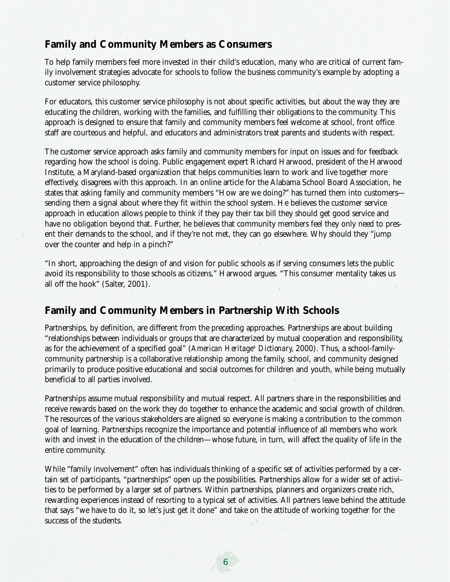#### **Family and Community Members as Consumers**

To help family members feel more invested in their child's education, many who are critical of current family involvement strategies advocate for schools to follow the business community's example by adopting a customer service philosophy.

For educators, this customer service philosophy is not about specific activities, but about the way they are educating the children, working with the families, and fulfilling their obligations to the community. This approach is designed to ensure that family and community members feel welcome at school, front office staff are courteous and helpful, and educators and administrators treat parents and students with respect.

The customer service approach asks family and community members for input on issues and for feedback regarding how the school is doing. Public engagement expert Richard Harwood, president of the Harwood Institute, a Maryland-based organization that helps communities learn to work and live together more effectively, disagrees with this approach. In an online article for the Alabama School Board Association, he states that asking family and community members "How are we doing?" has turned them into customers sending them a signal about where they fit within the school system. He believes the customer service approach in education allows people to think if they pay their tax bill they should get good service and have no obligation beyond that. Further, he believes that community members feel they only need to present their demands to the school, and if they're not met, they can go elsewhere. Why should they "jump over the counter and help in a pinch?"

"In short, approaching the design of and vision for public schools as if serving consumers lets the public avoid its responsibility to those schools as citizens," Harwood argues. "This consumer mentality takes us all off the hook" (Salter, 2001).

#### **Family and Community Members in Partnership With Schools**

Partnerships, by definition, are different from the preceding approaches. Partnerships are about building "relationships between individuals or groups that are characterized by mutual cooperation and responsibility, as for the achievement of a specified goal" (*American Heritage® Dictionary,* 2000). Thus, a school-familycommunity partnership is a collaborative relationship among the family, school, and community designed primarily to produce positive educational and social outcomes for children and youth, while being mutually beneficial to all parties involved.

Partnerships assume mutual responsibility and mutual respect. All partners share in the responsibilities and receive rewards based on the work they do together to enhance the academic and social growth of children. The resources of the various stakeholders are aligned so everyone is making a contribution to the common goal of learning. Partnerships recognize the importance and potential influence of all members who work with and invest in the education of the children—whose future, in turn, will affect the quality of life in the entire community.

While "family involvement" often has individuals thinking of a specific set of activities performed by a certain set of participants, "partnerships" open up the possibilities. Partnerships allow for a wider set of activities to be performed by a larger set of partners. Within partnerships, planners and organizers create rich, rewarding experiences instead of resorting to a typical set of activities. All partners leave behind the attitude that says "we have to do it, so let's just get it done" and take on the attitude of working together for the success of the students.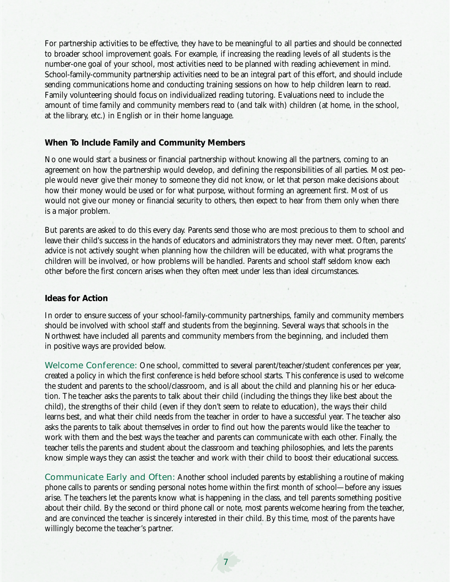For partnership activities to be effective, they have to be meaningful to all parties and should be connected to broader school improvement goals. For example, if increasing the reading levels of all students is the number-one goal of your school, most activities need to be planned with reading achievement in mind. School-family-community partnership activities need to be an integral part of this effort, and should include sending communications home and conducting training sessions on how to help children learn to read. Family volunteering should focus on individualized reading tutoring. Evaluations need to include the amount of time family and community members read to (and talk with) children (at home, in the school, at the library, etc.) in English or in their home language.

#### **When To Include Family and Community Members**

No one would start a business or financial partnership without knowing all the partners, coming to an agreement on how the partnership would develop, and defining the responsibilities of all parties. Most people would never give their money to someone they did not know, or let that person make decisions about how their money would be used or for what purpose, without forming an agreement first. Most of us would not give our money or financial security to others, then expect to hear from them only when there is a major problem.

But parents are asked to do this every day. Parents send those who are most precious to them to school and leave their child's success in the hands of educators and administrators they may never meet. Often, parents' advice is not actively sought when planning how the children will be educated, with what programs the children will be involved, or how problems will be handled. Parents and school staff seldom know each other before the first concern arises when they often meet under less than ideal circumstances.

#### **Ideas for Action**

In order to ensure success of your school-family-community partnerships, family and community members should be involved with school staff and students from the beginning. Several ways that schools in the Northwest have included all parents and community members from the beginning, and included them in positive ways are provided below.

Welcome Conference: One school, committed to several parent/teacher/student conferences per year, created a policy in which the first conference is held before school starts. This conference is used to welcome the student and parents to the school/classroom, and is all about the child and planning his or her education. The teacher asks the parents to talk about their child (including the things they like best about the child), the strengths of their child (even if they don't seem to relate to education), the ways their child learns best, and what their child needs from the teacher in order to have a successful year. The teacher also asks the parents to talk about themselves in order to find out how the parents would like the teacher to work with them and the best ways the teacher and parents can communicate with each other. Finally, the teacher tells the parents and student about the classroom and teaching philosophies, and lets the parents know simple ways they can assist the teacher and work with their child to boost their educational success.

Communicate Early and Often: Another school included parents by establishing a routine of making phone calls to parents or sending personal notes home within the first month of school—before any issues arise. The teachers let the parents know what is happening in the class, and tell parents something positive about their child. By the second or third phone call or note, most parents welcome hearing from the teacher, and are convinced the teacher is sincerely interested in their child. By this time, most of the parents have willingly become the teacher's partner.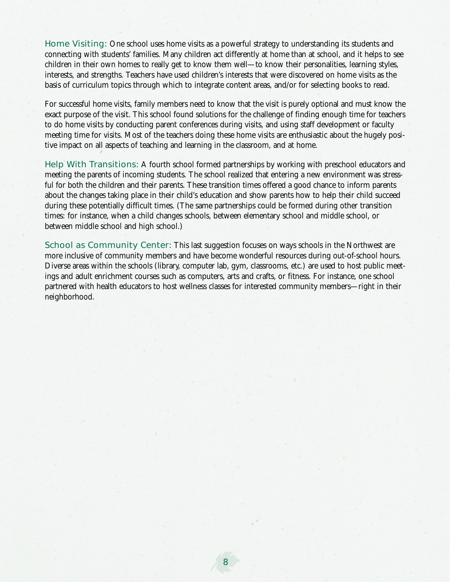Home Visiting: One school uses home visits as a powerful strategy to understanding its students and connecting with students' families. Many children act differently at home than at school, and it helps to see children in their own homes to really get to know them well—to know their personalities, learning styles, interests, and strengths. Teachers have used children's interests that were discovered on home visits as the basis of curriculum topics through which to integrate content areas, and/or for selecting books to read.

For successful home visits, family members need to know that the visit is purely optional and must know the exact purpose of the visit. This school found solutions for the challenge of finding enough time for teachers to do home visits by conducting parent conferences during visits, and using staff development or faculty meeting time for visits. Most of the teachers doing these home visits are enthusiastic about the hugely positive impact on all aspects of teaching and learning in the classroom, and at home.

Help With Transitions: A fourth school formed partnerships by working with preschool educators and meeting the parents of incoming students. The school realized that entering a new environment was stressful for both the children and their parents. These transition times offered a good chance to inform parents about the changes taking place in their child's education and show parents how to help their child succeed during these potentially difficult times. (The same partnerships could be formed during other transition times: for instance, when a child changes schools, between elementary school and middle school, or between middle school and high school.)

School as Community Center: This last suggestion focuses on ways schools in the Northwest are more inclusive of community members and have become wonderful resources during out-of-school hours. Diverse areas within the schools (library, computer lab, gym, classrooms, etc.) are used to host public meetings and adult enrichment courses such as computers, arts and crafts, or fitness. For instance, one school partnered with health educators to host wellness classes for interested community members—right in their neighborhood.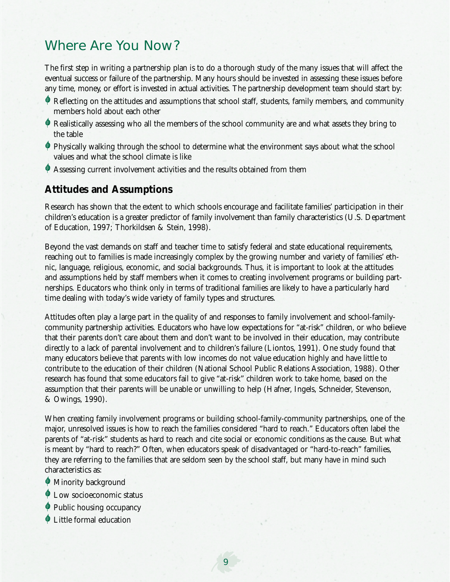## <span id="page-14-0"></span>Where Are You Now?

The first step in writing a partnership plan is to do a thorough study of the many issues that will affect the eventual success or failure of the partnership. Many hours should be invested in assessing these issues before any time, money, or effort is invested in actual activities. The partnership development team should start by:

- P Reflecting on the attitudes and assumptions that school staff, students, family members, and community members hold about each other
- P Realistically assessing who all the members of the school community are and what assets they bring to the table
- P Physically walking through the school to determine what the environment says about what the school values and what the school climate is like
- P Assessing current involvement activities and the results obtained from them

#### **Attitudes and Assumptions**

Research has shown that the extent to which schools encourage and facilitate families' participation in their children's education is a greater predictor of family involvement than family characteristics (U.S. Department of Education, 1997; Thorkildsen & Stein, 1998).

Beyond the vast demands on staff and teacher time to satisfy federal and state educational requirements, reaching out to families is made increasingly complex by the growing number and variety of families' ethnic, language, religious, economic, and social backgrounds. Thus, it is important to look at the attitudes and assumptions held by staff members when it comes to creating involvement programs or building partnerships. Educators who think only in terms of traditional families are likely to have a particularly hard time dealing with today's wide variety of family types and structures.

Attitudes often play a large part in the quality of and responses to family involvement and school-familycommunity partnership activities. Educators who have low expectations for "at-risk" children, or who believe that their parents don't care about them and don't want to be involved in their education, may contribute directly to a lack of parental involvement and to children's failure (Liontos, 1991). One study found that many educators believe that parents with low incomes do not value education highly and have little to contribute to the education of their children (National School Public Relations Association, 1988). Other research has found that some educators fail to give "at-risk" children work to take home, based on the assumption that their parents will be unable or unwilling to help (Hafner, Ingels, Schneider, Stevenson, & Owings, 1990).

When creating family involvement programs or building school-family-community partnerships, one of the major, unresolved issues is how to reach the families considered "hard to reach." Educators often label the parents of "at-risk" students as hard to reach and cite social or economic conditions as the cause. But what is meant by "hard to reach?" Often, when educators speak of disadvantaged or "hard-to-reach" families, they are referring to the families that are seldom seen by the school staff, but many have in mind such characteristics as:

- <sup>•</sup> Minority background
- P Low socioeconomic status
- Public housing occupancy
- P Little formal education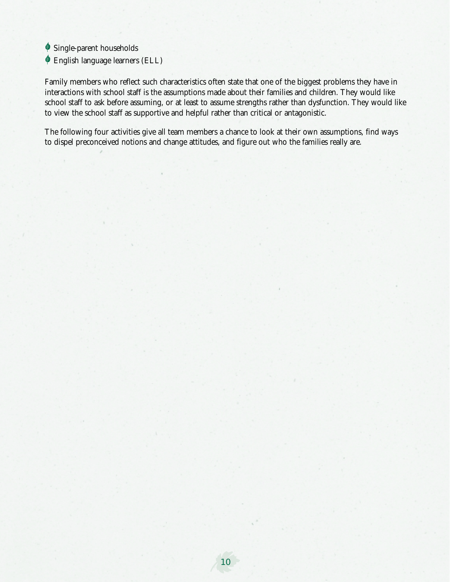P Single-parent households

P English language learners (ELL)

Family members who reflect such characteristics often state that one of the biggest problems they have in interactions with school staff is the assumptions made about their families and children. They would like school staff to ask before assuming, or at least to assume strengths rather than dysfunction. They would like to view the school staff as supportive and helpful rather than critical or antagonistic.

The following four activities give all team members a chance to look at their own assumptions, find ways to dispel preconceived notions and change attitudes, and figure out who the families really are.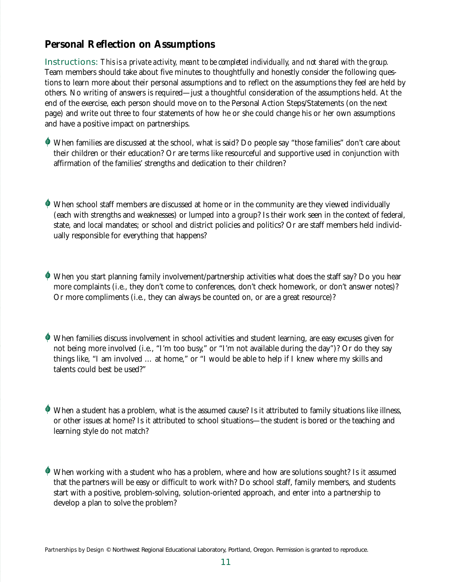#### **Personal Reflection on Assumptions**

Instructions: *This is a private activity, meant to be completed individually, and not shared with the group.* Team members should take about five minutes to thoughtfully and honestly consider the following questions to learn more about their personal assumptions and to reflect on the assumptions they feel are held by others. No writing of answers is required—just a thoughtful consideration of the assumptions held. At the end of the exercise, each person should move on to the Personal Action Steps/Statements (on the next page) and write out three to four statements of how he or she could change his or her own assumptions and have a positive impact on partnerships.

- P When families are discussed at the school, what is said? Do people say "those families" don't care about their children or their education? Or are terms like resourceful and supportive used in conjunction with affirmation of the families' strengths and dedication to their children?
- P When school staff members are discussed at home or in the community are they viewed individually (each with strengths and weaknesses) or lumped into a group? Is their work seen in the context of federal, state, and local mandates; or school and district policies and politics? Or are staff members held individually responsible for everything that happens?
- P When you start planning family involvement/partnership activities what does the staff say? Do you hear more complaints (i.e., they don't come to conferences, don't check homework, or don't answer notes)? Or more compliments (i.e., they can always be counted on, or are a great resource)?
- P When families discuss involvement in school activities and student learning, are easy excuses given for not being more involved (i.e., "I'm too busy," or "I'm not available during the day")? Or do they say things like, "I am involved … at home," or "I would be able to help if I knew where my skills and talents could best be used?"
- P When a student has a problem, what is the assumed cause? Is it attributed to family situations like illness, or other issues at home? Is it attributed to school situations—the student is bored or the teaching and learning style do not match?
- When working with a student who has a problem, where and how are solutions sought? Is it assumed that the partners will be easy or difficult to work with? Do school staff, family members, and students start with a positive, problem-solving, solution-oriented approach, and enter into a partnership to develop a plan to solve the problem?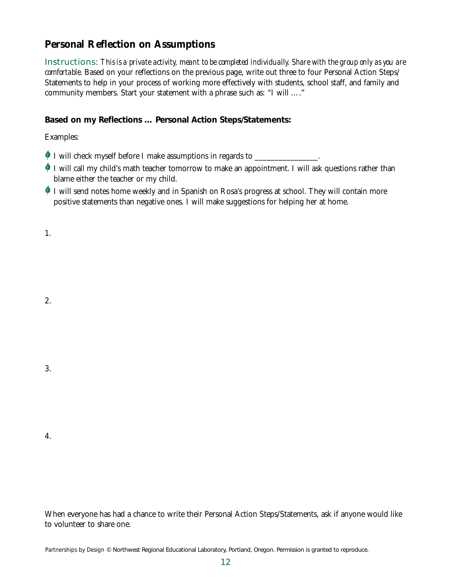### **Personal Reflection on Assumptions**

Instructions: *This is a private activity, meant to be completed individually. Share with the group only as you are comfortable.* Based on your reflections on the previous page, write out three to four Personal Action Steps/ Statements to help in your process of working more effectively with students, school staff, and family and community members. Start your statement with a phrase such as: "I will …."

#### **Based on my Reflections … Personal Action Steps/Statements:**

Examples:

- P I will check myself before I make assumptions in regards to \_\_\_\_\_\_\_\_\_\_\_\_\_\_\_\_.
- P I will call my child's math teacher tomorrow to make an appointment. I will ask questions rather than blame either the teacher or my child.
- <sup>1</sup> I will send notes home weekly and in Spanish on Rosa's progress at school. They will contain more positive statements than negative ones. I will make suggestions for helping her at home.

1.

2.

3.

4.

When everyone has had a chance to write their Personal Action Steps/Statements, ask if anyone would like to volunteer to share one.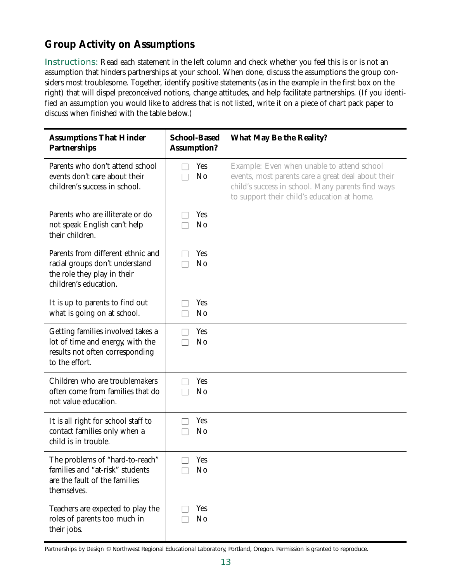## **Group Activity on Assumptions**

Instructions: Read each statement in the left column and check whether you feel this is or is not an assumption that hinders partnerships at your school. When done, discuss the assumptions the group considers most troublesome. Together, identify positive statements (as in the example in the first box on the right) that will dispel preconceived notions, change attitudes, and help facilitate partnerships. (If you identified an assumption you would like to address that is not listed, write it on a piece of chart pack paper to discuss when finished with the table below.)

| <b>Assumptions That Hinder</b><br><b>Partnerships</b>                                                                       | <b>School-Based</b><br><b>Assumption?</b> | <b>What May Be the Reality?</b>                                                                                                                                                                      |
|-----------------------------------------------------------------------------------------------------------------------------|-------------------------------------------|------------------------------------------------------------------------------------------------------------------------------------------------------------------------------------------------------|
| Parents who don't attend school<br>events don't care about their<br>children's success in school.                           | Yes<br>N <sub>o</sub>                     | Example: Even when unable to attend school<br>events, most parents care a great deal about their<br>child's success in school. Many parents find ways<br>to support their child's education at home. |
| Parents who are illiterate or do<br>not speak English can't help<br>their children.                                         | Yes<br>N <sub>o</sub>                     |                                                                                                                                                                                                      |
| Parents from different ethnic and<br>racial groups don't understand<br>the role they play in their<br>children's education. | Yes<br>N <sub>o</sub>                     |                                                                                                                                                                                                      |
| It is up to parents to find out<br>what is going on at school.                                                              | Yes<br>N <sub>o</sub>                     |                                                                                                                                                                                                      |
| Getting families involved takes a<br>lot of time and energy, with the<br>results not often corresponding<br>to the effort.  | <b>Yes</b><br>No                          |                                                                                                                                                                                                      |
| Children who are troublemakers<br>often come from families that do<br>not value education.                                  | Yes<br>N <sub>o</sub>                     |                                                                                                                                                                                                      |
| It is all right for school staff to<br>contact families only when a<br>child is in trouble.                                 | Yes<br>N <sub>o</sub>                     |                                                                                                                                                                                                      |
| The problems of "hard-to-reach"<br>families and "at-risk" students<br>are the fault of the families<br>themselves.          | $\Box$ Yes<br>N <sub>o</sub>              |                                                                                                                                                                                                      |
| Teachers are expected to play the<br>roles of parents too much in<br>their jobs.                                            | <b>Yes</b><br>N <sub>o</sub>              |                                                                                                                                                                                                      |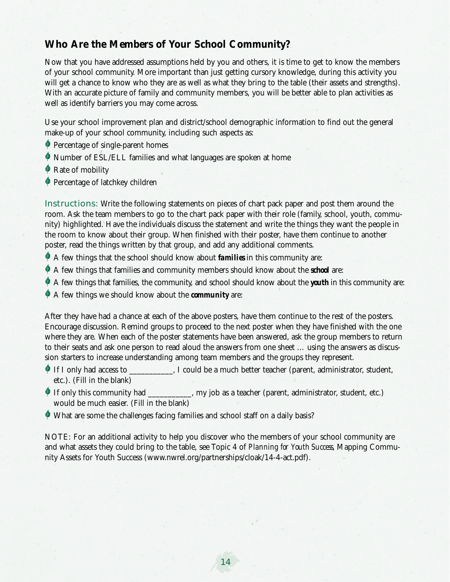#### **Who Are the Members of Your School Community?**

Now that you have addressed assumptions held by you and others, it is time to get to know the members of your school community. More important than just getting cursory knowledge, during this activity you will get a chance to know who they are as well as what they bring to the table (their assets and strengths). With an accurate picture of family and community members, you will be better able to plan activities as well as identify barriers you may come across.

Use your school improvement plan and district/school demographic information to find out the general make-up of your school community, including such aspects as:

- Percentage of single-parent homes
- P Number of ESL/ELL families and what languages are spoken at home
- Rate of mobility
- $\blacklozenge$  Percentage of latchkey children

Instructions: Write the following statements on pieces of chart pack paper and post them around the room. Ask the team members to go to the chart pack paper with their role (family, school, youth, community) highlighted. Have the individuals discuss the statement and write the things they want the people in the room to know about their group. When finished with their poster, have them continue to another poster, read the things written by that group, and add any additional comments.

- P A few things that the school should know about *families* in this community are:
- P A few things that families and community members should know about the *school* are:
- P A few things that families, the community, and school should know about the *youth* in this community are:
- P A few things we should know about the *community* are:

After they have had a chance at each of the above posters, have them continue to the rest of the posters. Encourage discussion. Remind groups to proceed to the next poster when they have finished with the one where they are. When each of the poster statements have been answered, ask the group members to return to their seats and ask one person to read aloud the answers from one sheet … using the answers as discussion starters to increase understanding among team members and the groups they represent.

- P If I only had access to \_\_\_\_\_\_\_\_\_\_\_, I could be a much better teacher (parent, administrator, student, etc.). (Fill in the blank)
- P If only this community had \_\_\_\_\_\_\_\_\_\_\_, my job as a teacher (parent, administrator, student, etc.) would be much easier. (Fill in the blank)
- P What are some the challenges facing families and school staff on a daily basis?

NOTE: For an additional activity to help you discover who the members of your school community are and what assets they could bring to the table, see Topic 4 of *Planning for Youth Success,* Mapping Community Assets for Youth Success (www.nwrel.org/partnerships/cloak/14-4-act.pdf).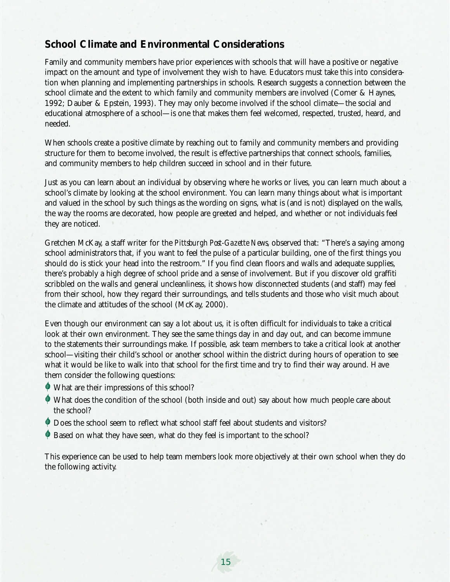#### **School Climate and Environmental Considerations**

Family and community members have prior experiences with schools that will have a positive or negative impact on the amount and type of involvement they wish to have. Educators must take this into consideration when planning and implementing partnerships in schools. Research suggests a connection between the school climate and the extent to which family and community members are involved (Comer & Haynes, 1992; Dauber & Epstein, 1993). They may only become involved if the school climate—the social and educational atmosphere of a school—is one that makes them feel welcomed, respected, trusted, heard, and needed.

When schools create a positive climate by reaching out to family and community members and providing structure for them to become involved, the result is effective partnerships that connect schools, families, and community members to help children succeed in school and in their future.

Just as you can learn about an individual by observing where he works or lives, you can learn much about a school's climate by looking at the school environment. You can learn many things about what is important and valued in the school by such things as the wording on signs, what is (and is not) displayed on the walls, the way the rooms are decorated, how people are greeted and helped, and whether or not individuals feel they are noticed.

Gretchen McKay, a staff writer for the *Pittsburgh Post-Gazette News,* observed that: "There's a saying among school administrators that, if you want to feel the pulse of a particular building, one of the first things you should do is stick your head into the restroom." If you find clean floors and walls and adequate supplies, there's probably a high degree of school pride and a sense of involvement. But if you discover old graffiti scribbled on the walls and general uncleanliness, it shows how disconnected students (and staff) may feel from their school, how they regard their surroundings, and tells students and those who visit much about the climate and attitudes of the school (McKay, 2000).

Even though our environment can say a lot about us, it is often difficult for individuals to take a critical look at their own environment. They see the same things day in and day out, and can become immune to the statements their surroundings make. If possible, ask team members to take a critical look at another school—visiting their child's school or another school within the district during hours of operation to see what it would be like to walk into that school for the first time and try to find their way around. Have them consider the following questions:

- P What are their impressions of this school?
- P What does the condition of the school (both inside and out) say about how much people care about the school?
- P Does the school seem to reflect what school staff feel about students and visitors?
- P Based on what they have seen, what do they feel is important to the school?

This experience can be used to help team members look more objectively at their own school when they do the following activity.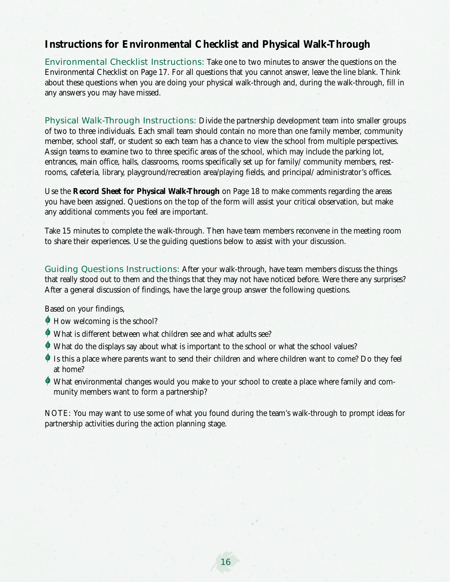#### **Instructions for Environmental Checklist and Physical Walk-Through**

Environmental Checklist Instructions: Take one to two minutes to answer the questions on the Environmental Checklist on Page 17. For all questions that you cannot answer, leave the line blank. Think about these questions when you are doing your physical walk-through and, during the walk-through, fill in any answers you may have missed.

Physical Walk-Through Instructions: Divide the partnership development team into smaller groups of two to three individuals. Each small team should contain no more than one family member, community member, school staff, or student so each team has a chance to view the school from multiple perspectives. Assign teams to examine two to three specific areas of the school, which may include the parking lot, entrances, main office, halls, classrooms, rooms specifically set up for family/ community members, restrooms, cafeteria, library, playground/recreation area/playing fields, and principal/ administrator's offices.

Use the **Record Sheet for Physical Walk-Through** on Page 18 to make comments regarding the areas you have been assigned. Questions on the top of the form will assist your critical observation, but make any additional comments you feel are important.

Take 15 minutes to complete the walk-through. Then have team members reconvene in the meeting room to share their experiences. Use the guiding questions below to assist with your discussion.

Guiding Questions Instructions: After your walk-through, have team members discuss the things that really stood out to them and the things that they may not have noticed before. Were there any surprises? After a general discussion of findings, have the large group answer the following questions.

Based on your findings,

- How welcoming is the school?
- P What is different between what children see and what adults see?
- P What do the displays say about what is important to the school or what the school values?
- P Is this a place where parents want to send their children and where children want to come? Do they feel at home?
- P What environmental changes would you make to your school to create a place where family and community members want to form a partnership?

NOTE: You may want to use some of what you found during the team's walk-through to prompt ideas for partnership activities during the action planning stage.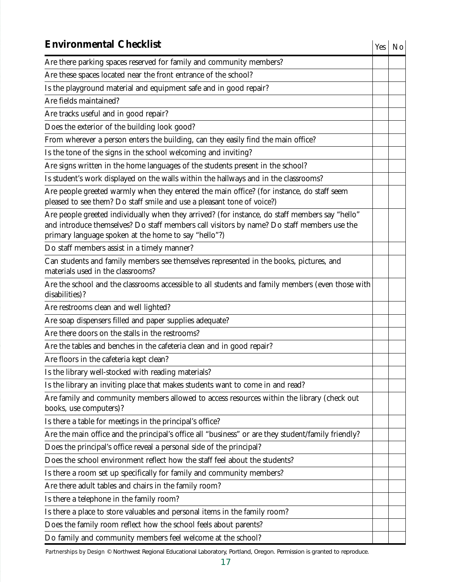| <b>Environmental Checklist</b>                                                                                                                                                                                                                       | <b>Yes</b> | N <sub>0</sub> |
|------------------------------------------------------------------------------------------------------------------------------------------------------------------------------------------------------------------------------------------------------|------------|----------------|
| Are there parking spaces reserved for family and community members?                                                                                                                                                                                  |            |                |
| Are these spaces located near the front entrance of the school?                                                                                                                                                                                      |            |                |
| Is the playground material and equipment safe and in good repair?                                                                                                                                                                                    |            |                |
| Are fields maintained?                                                                                                                                                                                                                               |            |                |
| Are tracks useful and in good repair?                                                                                                                                                                                                                |            |                |
| Does the exterior of the building look good?                                                                                                                                                                                                         |            |                |
| From wherever a person enters the building, can they easily find the main office?                                                                                                                                                                    |            |                |
| Is the tone of the signs in the school welcoming and inviting?                                                                                                                                                                                       |            |                |
| Are signs written in the home languages of the students present in the school?                                                                                                                                                                       |            |                |
| Is student's work displayed on the walls within the hallways and in the classrooms?                                                                                                                                                                  |            |                |
| Are people greeted warmly when they entered the main office? (for instance, do staff seem<br>pleased to see them? Do staff smile and use a pleasant tone of voice?)                                                                                  |            |                |
| Are people greeted individually when they arrived? (for instance, do staff members say "hello"<br>and introduce themselves? Do staff members call visitors by name? Do staff members use the<br>primary language spoken at the home to say "hello"?) |            |                |
| Do staff members assist in a timely manner?                                                                                                                                                                                                          |            |                |
| Can students and family members see themselves represented in the books, pictures, and<br>materials used in the classrooms?                                                                                                                          |            |                |
| Are the school and the classrooms accessible to all students and family members (even those with<br>disabilities)?                                                                                                                                   |            |                |
| Are restrooms clean and well lighted?                                                                                                                                                                                                                |            |                |
| Are soap dispensers filled and paper supplies adequate?                                                                                                                                                                                              |            |                |
| Are there doors on the stalls in the restrooms?                                                                                                                                                                                                      |            |                |
| Are the tables and benches in the cafeteria clean and in good repair?                                                                                                                                                                                |            |                |
| Are floors in the cafeteria kept clean?                                                                                                                                                                                                              |            |                |
| Is the library well-stocked with reading materials?                                                                                                                                                                                                  |            |                |
| Is the library an inviting place that makes students want to come in and read?                                                                                                                                                                       |            |                |
| Are family and community members allowed to access resources within the library (check out<br>books, use computers)?                                                                                                                                 |            |                |
| Is there a table for meetings in the principal's office?                                                                                                                                                                                             |            |                |
| Are the main office and the principal's office all "business" or are they student/family friendly?                                                                                                                                                   |            |                |
| Does the principal's office reveal a personal side of the principal?                                                                                                                                                                                 |            |                |
| Does the school environment reflect how the staff feel about the students?                                                                                                                                                                           |            |                |
| Is there a room set up specifically for family and community members?                                                                                                                                                                                |            |                |
| Are there adult tables and chairs in the family room?                                                                                                                                                                                                |            |                |
| Is there a telephone in the family room?                                                                                                                                                                                                             |            |                |
| Is there a place to store valuables and personal items in the family room?                                                                                                                                                                           |            |                |
| Does the family room reflect how the school feels about parents?                                                                                                                                                                                     |            |                |
| Do family and community members feel welcome at the school?                                                                                                                                                                                          |            |                |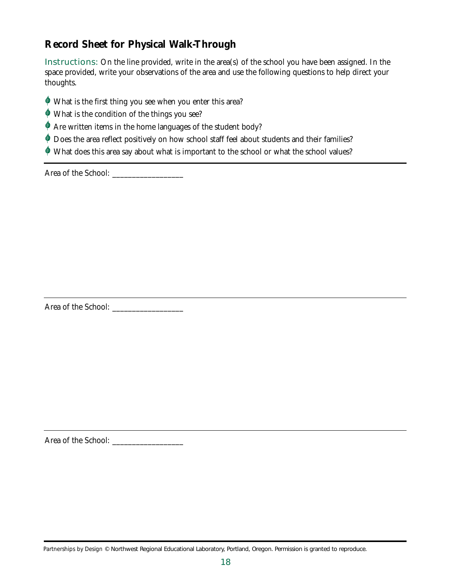## **Record Sheet for Physical Walk-Through**

Instructions: On the line provided, write in the area(s) of the school you have been assigned. In the space provided, write your observations of the area and use the following questions to help direct your thoughts.

- P What is the first thing you see when you enter this area?
- $\blacklozenge$  What is the condition of the things you see?
- $\blacklozenge$  Are written items in the home languages of the student body?
- P Does the area reflect positively on how school staff feel about students and their families?
- P What does this area say about what is important to the school or what the school values?

Area of the School: \_\_\_\_\_\_\_\_\_\_\_\_\_\_\_\_\_\_

Area of the School: \_\_\_\_\_\_\_\_\_\_\_\_\_\_\_\_\_\_

Area of the School: \_\_\_\_\_\_\_\_\_\_\_\_\_\_\_\_\_\_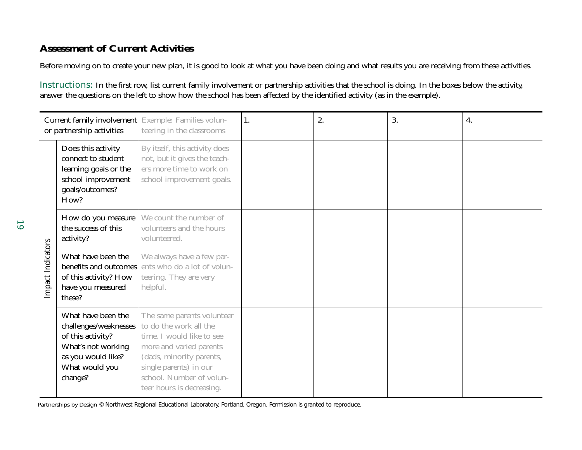## **Assessment of Current Activities**

Before moving on to create your new plan, it is good to look at what you have been doing and what results you are receiving from these activities.

**Instructions**: In the first row, list current family involvement or partnership activities that the school is doing. In the boxes below the activity, answer the questions on the left to show how the school has been affected by the identified activity (as in the example).

|                   | or partnership activities                                                                                                                 | Current family involvement   Example: Families volun-<br>teering in the classrooms                                                                                                                                          | 1. | 2. | 3. | 4. |
|-------------------|-------------------------------------------------------------------------------------------------------------------------------------------|-----------------------------------------------------------------------------------------------------------------------------------------------------------------------------------------------------------------------------|----|----|----|----|
|                   | Does this activity<br>connect to student<br>learning goals or the<br>school improvement<br>goals/outcomes?<br>How?                        | By itself, this activity does<br>not, but it gives the teach-<br>ers more time to work on<br>school improvement goals.                                                                                                      |    |    |    |    |
|                   | How do you measure<br>the success of this<br>activity?                                                                                    | We count the number of<br>volunteers and the hours<br>volunteered.                                                                                                                                                          |    |    |    |    |
| Impact Indicators | What have been the<br>of this activity? How<br>have you measured<br>these?                                                                | We always have a few par-<br><b>benefits and outcomes</b> ents who do a lot of volun-<br>teering. They are very<br>helpful.                                                                                                 |    |    |    |    |
|                   | What have been the<br>challenges/weaknesses<br>of this activity?<br>What's not working<br>as you would like?<br>What would you<br>change? | The same parents volunteer<br>to do the work all the<br>time. I would like to see<br>more and varied parents<br>(dads, minority parents,<br>single parents) in our<br>school. Number of volun-<br>teer hours is decreasing. |    |    |    |    |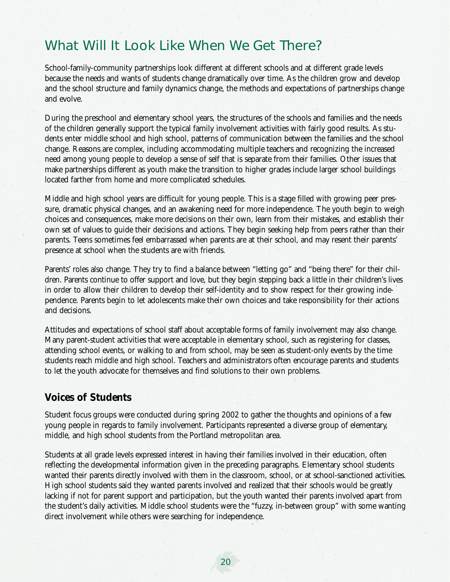## <span id="page-25-0"></span>What Will It Look Like When We Get There?

School-family-community partnerships look different at different schools and at different grade levels because the needs and wants of students change dramatically over time. As the children grow and develop and the school structure and family dynamics change, the methods and expectations of partnerships change and evolve.

During the preschool and elementary school years, the structures of the schools and families and the needs of the children generally support the typical family involvement activities with fairly good results. As students enter middle school and high school, patterns of communication between the families and the school change. Reasons are complex, including accommodating multiple teachers and recognizing the increased need among young people to develop a sense of self that is separate from their families. Other issues that make partnerships different as youth make the transition to higher grades include larger school buildings located farther from home and more complicated schedules.

Middle and high school years are difficult for young people. This is a stage filled with growing peer pressure, dramatic physical changes, and an awakening need for more independence. The youth begin to weigh choices and consequences, make more decisions on their own, learn from their mistakes, and establish their own set of values to guide their decisions and actions. They begin seeking help from peers rather than their parents. Teens sometimes feel embarrassed when parents are at their school, and may resent their parents' presence at school when the students are with friends.

Parents' roles also change. They try to find a balance between "letting go" and "being there" for their children. Parents continue to offer support and love, but they begin stepping back a little in their children's lives in order to allow their children to develop their self-identity and to show respect for their growing independence. Parents begin to let adolescents make their own choices and take responsibility for their actions and decisions.

Attitudes and expectations of school staff about acceptable forms of family involvement may also change. Many parent-student activities that were acceptable in elementary school, such as registering for classes, attending school events, or walking to and from school, may be seen as student-only events by the time students reach middle and high school. Teachers and administrators often encourage parents and students to let the youth advocate for themselves and find solutions to their own problems.

## **Voices of Students**

Student focus groups were conducted during spring 2002 to gather the thoughts and opinions of a few young people in regards to family involvement. Participants represented a diverse group of elementary, middle, and high school students from the Portland metropolitan area.

Students at all grade levels expressed interest in having their families involved in their education, often reflecting the developmental information given in the preceding paragraphs. Elementary school students wanted their parents directly involved with them in the classroom, school, or at school-sanctioned activities. High school students said they wanted parents involved and realized that their schools would be greatly lacking if not for parent support and participation, but the youth wanted their parents involved apart from the student's daily activities. Middle school students were the "fuzzy, in-between group" with some wanting direct involvement while others were searching for independence.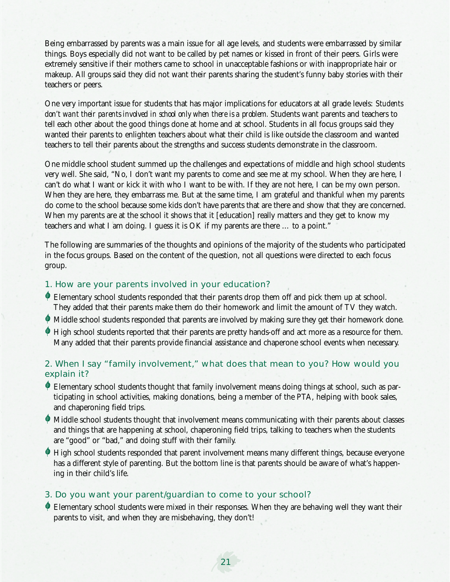Being embarrassed by parents was a main issue for all age levels, and students were embarrassed by similar things. Boys especially did not want to be called by pet names or kissed in front of their peers. Girls were extremely sensitive if their mothers came to school in unacceptable fashions or with inappropriate hair or makeup. All groups said they did not want their parents sharing the student's funny baby stories with their teachers or peers.

One very important issue for students that has major implications for educators at all grade levels: *Students don't want their parents involved in school only when there is a problem.* Students want parents and teachers to tell each other about the good things done at home and at school. Students in all focus groups said they wanted their parents to enlighten teachers about what their child is like outside the classroom and wanted teachers to tell their parents about the strengths and success students demonstrate in the classroom.

One middle school student summed up the challenges and expectations of middle and high school students very well. She said, "No, I don't want my parents to come and see me at my school. When they are here, I can't do what I want or kick it with who I want to be with. If they are not here, I can be my own person. When they are here, they embarrass me. But at the same time, I am grateful and thankful when my parents do come to the school because some kids don't have parents that are there and show that they are concerned. When my parents are at the school it shows that it [education] really matters and they get to know my teachers and what I am doing. I guess it is OK if my parents are there … to a point."

The following are summaries of the thoughts and opinions of the majority of the students who participated in the focus groups. Based on the content of the question, not all questions were directed to each focus group.

#### 1. How are your parents involved in your education?

- P Elementary school students responded that their parents drop them off and pick them up at school. They added that their parents make them do their homework and limit the amount of TV they watch.
- P Middle school students responded that parents are involved by making sure they get their homework done.
- P High school students reported that their parents are pretty hands-off and act more as a resource for them. Many added that their parents provide financial assistance and chaperone school events when necessary.

#### 2. When I say "family involvement," what does that mean to you? How would you explain it?

- P Elementary school students thought that family involvement means doing things at school, such as participating in school activities, making donations, being a member of the PTA, helping with book sales, and chaperoning field trips.
- P Middle school students thought that involvement means communicating with their parents about classes and things that are happening at school, chaperoning field trips, talking to teachers when the students are "good" or "bad," and doing stuff with their family.
- P High school students responded that parent involvement means many different things, because everyone has a different style of parenting. But the bottom line is that parents should be aware of what's happening in their child's life.

#### 3. Do you want your parent/guardian to come to your school?

P Elementary school students were mixed in their responses. When they are behaving well they want their parents to visit, and when they are misbehaving, they don't!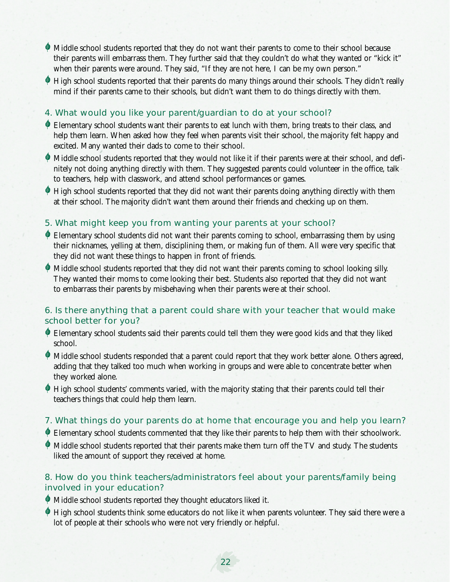- P Middle school students reported that they do not want their parents to come to their school because their parents will embarrass them. They further said that they couldn't do what they wanted or "kick it" when their parents were around. They said, "If they are not here, I can be my own person."
- <sup>1</sup> High school students reported that their parents do many things around their schools. They didn't really mind if their parents came to their schools, but didn't want them to do things directly with them.

#### 4. What would you like your parent/guardian to do at your school?

- P Elementary school students want their parents to eat lunch with them, bring treats to their class, and help them learn. When asked how they feel when parents visit their school, the majority felt happy and excited. Many wanted their dads to come to their school.
- P Middle school students reported that they would not like it if their parents were at their school, and definitely not doing anything directly with them. They suggested parents could volunteer in the office, talk to teachers, help with classwork, and attend school performances or games.
- P High school students reported that they did not want their parents doing anything directly with them at their school. The majority didn't want them around their friends and checking up on them.

#### 5. What might keep you from wanting your parents at your school?

- P Elementary school students did not want their parents coming to school, embarrassing them by using their nicknames, yelling at them, disciplining them, or making fun of them. All were very specific that they did not want these things to happen in front of friends.
- P Middle school students reported that they did not want their parents coming to school looking silly. They wanted their moms to come looking their best. Students also reported that they did not want to embarrass their parents by misbehaving when their parents were at their school.

#### 6. Is there anything that a parent could share with your teacher that would make school better for you?

- P Elementary school students said their parents could tell them they were good kids and that they liked school.
- P Middle school students responded that a parent could report that they work better alone. Others agreed, adding that they talked too much when working in groups and were able to concentrate better when they worked alone.
- P High school students' comments varied, with the majority stating that their parents could tell their teachers things that could help them learn.

#### 7. What things do your parents do at home that encourage you and help you learn?

- P Elementary school students commented that they like their parents to help them with their schoolwork.
- P Middle school students reported that their parents make them turn off the TV and study. The students liked the amount of support they received at home.

#### 8. How do you think teachers/administrators feel about your parents/family being involved in your education?

- P Middle school students reported they thought educators liked it.
- P High school students think some educators do not like it when parents volunteer. They said there were a lot of people at their schools who were not very friendly or helpful.

22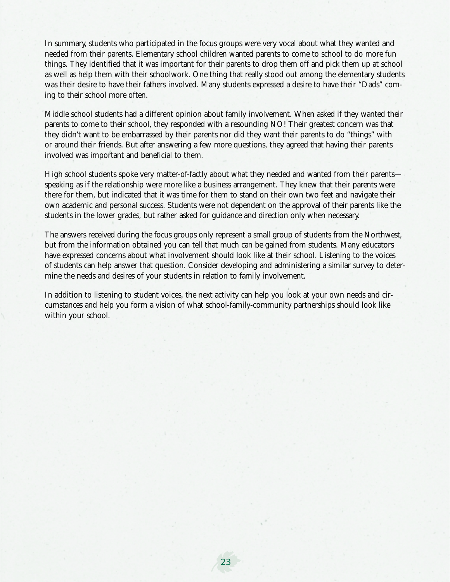In summary, students who participated in the focus groups were very vocal about what they wanted and needed from their parents. Elementary school children wanted parents to come to school to do more fun things. They identified that it was important for their parents to drop them off and pick them up at school as well as help them with their schoolwork. One thing that really stood out among the elementary students was their desire to have their fathers involved. Many students expressed a desire to have their "Dads" coming to their school more often.

Middle school students had a different opinion about family involvement. When asked if they wanted their parents to come to their school, they responded with a resounding NO! Their greatest concern was that they didn't want to be embarrassed by their parents nor did they want their parents to do "things" with or around their friends. But after answering a few more questions, they agreed that having their parents involved was important and beneficial to them.

High school students spoke very matter-of-factly about what they needed and wanted from their parents speaking as if the relationship were more like a business arrangement. They knew that their parents were there for them, but indicated that it was time for them to stand on their own two feet and navigate their own academic and personal success. Students were not dependent on the approval of their parents like the students in the lower grades, but rather asked for guidance and direction only when necessary.

The answers received during the focus groups only represent a small group of students from the Northwest, but from the information obtained you can tell that much can be gained from students. Many educators have expressed concerns about what involvement should look like at their school. Listening to the voices of students can help answer that question. Consider developing and administering a similar survey to determine the needs and desires of your students in relation to family involvement.

In addition to listening to student voices, the next activity can help you look at your own needs and circumstances and help you form a vision of what school-family-community partnerships should look like within your school.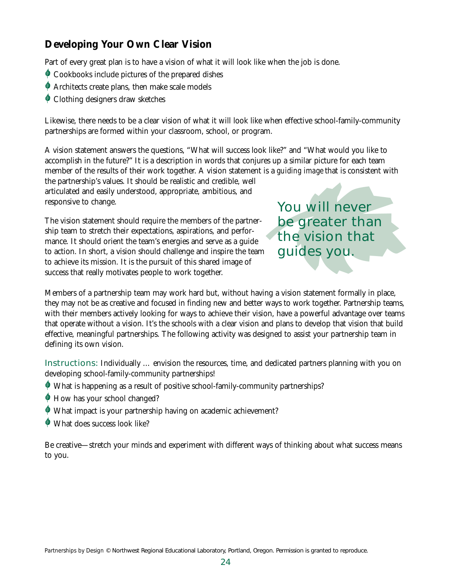## **Developing Your Own Clear Vision**

Part of every great plan is to have a vision of what it will look like when the job is done.

- P Cookbooks include pictures of the prepared dishes
- P Architects create plans, then make scale models
- $\triangle$  Clothing designers draw sketches

Likewise, there needs to be a clear vision of what it will look like when effective school-family-community partnerships are formed within your classroom, school, or program.

A vision statement answers the questions, "What will success look like?" and "What would you like to accomplish in the future?" It is a description in words that conjures up a similar picture for each team member of the results of their work together. A vision statement is a *guiding image* that is consistent with

the partnership's values. It should be realistic and credible, well articulated and easily understood, appropriate, ambitious, and responsive to change.

The vision statement should require the members of the partnership team to stretch their expectations, aspirations, and performance. It should orient the team's energies and serve as a guide to action. In short, a vision should challenge and inspire the team to achieve its mission. It is the pursuit of this shared image of success that really motivates people to work together.

You will never be greater than the vision that guides you.

Members of a partnership team may work hard but, without having a vision statement formally in place, they may not be as creative and focused in finding new and better ways to work together. Partnership teams, with their members actively looking for ways to achieve their vision, have a powerful advantage over teams that operate without a vision. It's the schools with a clear vision and plans to develop that vision that build effective, meaningful partnerships. The following activity was designed to assist your partnership team in defining its own vision.

Instructions: Individually ... envision the resources, time, and dedicated partners planning with you on developing school-family-community partnerships!

- P What is happening as a result of positive school-family-community partnerships?
- $\blacklozenge$  How has your school changed?
- P What impact is your partnership having on academic achievement?
- P What does success look like?

Be creative—stretch your minds and experiment with different ways of thinking about what success means to you.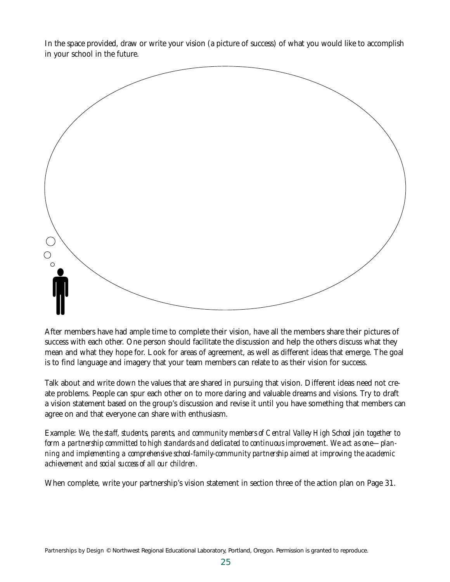In the space provided, draw or write your vision (a picture of success) of what you would like to accomplish in your school in the future.



After members have had ample time to complete their vision, have all the members share their pictures of success with each other. One person should facilitate the discussion and help the others discuss what they mean and what they hope for. Look for areas of agreement, as well as different ideas that emerge. The goal is to find language and imagery that your team members can relate to as their vision for success.

Talk about and write down the values that are shared in pursuing that vision. Different ideas need not create problems. People can spur each other on to more daring and valuable dreams and visions. Try to draft a vision statement based on the group's discussion and revise it until you have something that members can agree on and that everyone can share with enthusiasm.

Example: *We, the staff, students, parents, and community members of Central Valley High School join together to form a partnership committed to high standards and dedicated to continuous improvement. We act as one—planning and implementing a comprehensive school-family-community partnership aimed at improving the academic achievement and social success of all our children.*

When complete, write your partnership's vision statement in section three of the action plan on Page 31.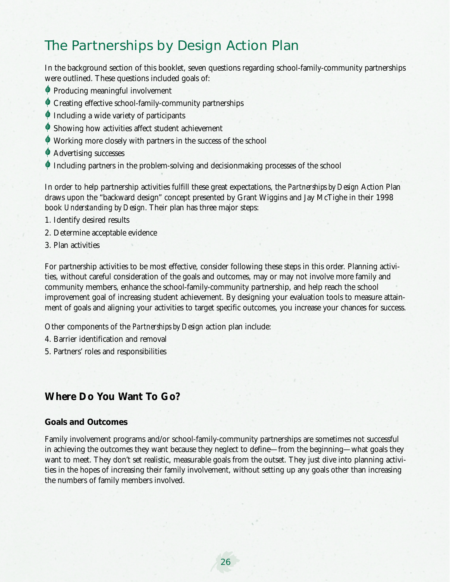## <span id="page-31-0"></span>The *Partnerships by Design* Action Plan

In the background section of this booklet, seven questions regarding school-family-community partnerships were outlined. These questions included goals of:

- ♦ Producing meaningful involvement
- P Creating effective school-family-community partnerships
- P Including a wide variety of participants
- P Showing how activities affect student achievement
- P Working more closely with partners in the success of the school
- P Advertising successes
- P Including partners in the problem-solving and decisionmaking processes of the school

In order to help partnership activities fulfill these great expectations, the *Partnerships by Design* Action Plan draws upon the "backward design" concept presented by Grant Wiggins and Jay McTighe in their 1998 book *Understanding by Design.* Their plan has three major steps:

- 1. Identify desired results
- 2. Determine acceptable evidence
- 3. Plan activities

For partnership activities to be most effective, consider following these steps in this order. Planning activities, without careful consideration of the goals and outcomes, may or may not involve more family and community members, enhance the school-family-community partnership, and help reach the school improvement goal of increasing student achievement. By designing your evaluation tools to measure attainment of goals and aligning your activities to target specific outcomes, you increase your chances for success.

Other components of the *Partnerships by Design* action plan include:

- 4. Barrier identification and removal
- 5. Partners' roles and responsibilities

#### **Where Do You Want To Go?**

#### **Goals and Outcomes**

Family involvement programs and/or school-family-community partnerships are sometimes not successful in achieving the outcomes they want because they neglect to define—from the beginning—what goals they want to meet. They don't set realistic, measurable goals from the outset. They just dive into planning activities in the hopes of increasing their family involvement, without setting up any goals other than increasing the numbers of family members involved.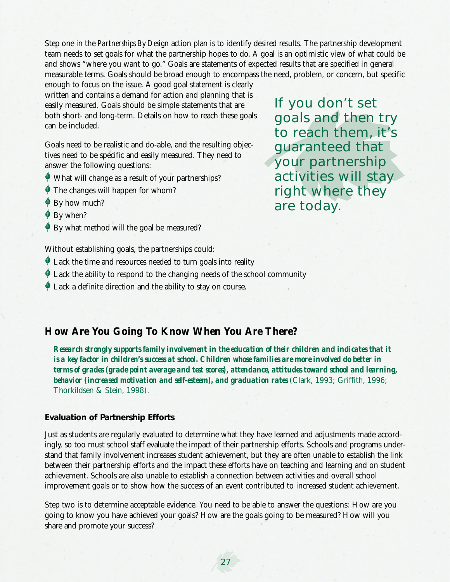Step one in the *Partnerships By Design* action plan is to identify desired results. The partnership development team needs to set goals for what the partnership hopes to do. A goal is an optimistic view of what could be and shows "where you want to go." Goals are statements of expected results that are specified in general measurable terms. Goals should be broad enough to encompass the need, problem, or concern, but specific

enough to focus on the issue. A good goal statement is clearly written and contains a demand for action and planning that is easily measured. Goals should be simple statements that are both short- and long-term. Details on how to reach these goals can be included.

Goals need to be realistic and do-able, and the resulting objectives need to be specific and easily measured. They need to answer the following questions:

- P What will change as a result of your partnerships?
- P The changes will happen for whom?
- By how much?
- $\bullet$  By when?
- P By what method will the goal be measured?

Without establishing goals, the partnerships could:

- P Lack the time and resources needed to turn goals into reality
- P Lack the ability to respond to the changing needs of the school community
- P Lack a definite direction and the ability to stay on course.

#### **How Are You Going To Know When You Are There?**

*Research strongly supports family involvement in the education of their children and indicates that it is a key factor in children's success at school. Children whose families are more involved do better in terms of grades (grade point average and test scores), attendance, attitudes toward school and learning, behavior (increased motivation and self-esteem), and graduation rates* (Clark, 1993; Griffith, 1996; Thorkildsen & Stein, 1998).

#### **Evaluation of Partnership Efforts**

Just as students are regularly evaluated to determine what they have learned and adjustments made accordingly, so too must school staff evaluate the impact of their partnership efforts. Schools and programs understand that family involvement increases student achievement, but they are often unable to establish the link between their partnership efforts and the impact these efforts have on teaching and learning and on student achievement. Schools are also unable to establish a connection between activities and overall school improvement goals or to show how the success of an event contributed to increased student achievement.

Step two is to determine acceptable evidence. You need to be able to answer the questions: How are you going to know you have achieved your goals? How are the goals going to be measured? How will you share and promote your success?

If you don't set goals and then try to reach them, it's guaranteed that your partnership activities will stay right where they are today.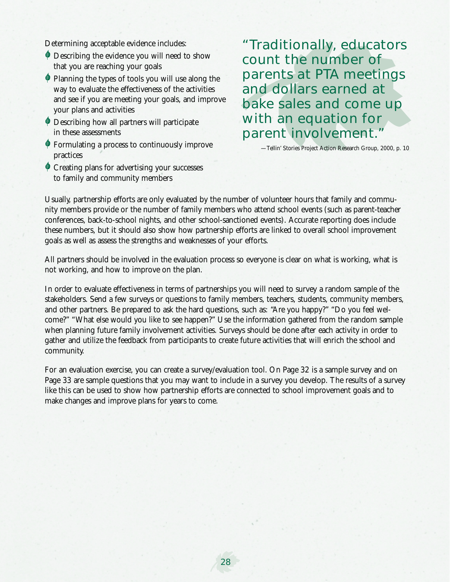Determining acceptable evidence includes:

- **P** Describing the evidence you will need to show that you are reaching your goals
- **Planning the types of tools you will use along the** way to evaluate the effectiveness of the activities and see if you are meeting your goals, and improve your plans and activities
- P Describing how all partners will participate in these assessments
- P Formulating a process to continuously improve practices
- P Creating plans for advertising your successes to family and community members

"Traditionally, educators count the number of parents at PTA meetings and dollars earned at bake sales and come up with an equation for parent involvement."

—Tellin' Stories Project Action Research Group, 2000, p. 10

Usually, partnership efforts are only evaluated by the number of volunteer hours that family and community members provide or the number of family members who attend school events (such as parent-teacher conferences, back-to-school nights, and other school-sanctioned events). Accurate reporting does include these numbers, but it should also show how partnership efforts are linked to overall school improvement goals as well as assess the strengths and weaknesses of your efforts.

All partners should be involved in the evaluation process so everyone is clear on what is working, what is not working, and how to improve on the plan.

In order to evaluate effectiveness in terms of partnerships you will need to survey a random sample of the stakeholders. Send a few surveys or questions to family members, teachers, students, community members, and other partners. Be prepared to ask the hard questions, such as: "Are you happy?" "Do you feel welcome?" "What else would you like to see happen?" Use the information gathered from the random sample when planning future family involvement activities. Surveys should be done after each activity in order to gather and utilize the feedback from participants to create future activities that will enrich the school and community.

For an evaluation exercise, you can create a survey/evaluation tool. On Page 32 is a sample survey and on Page 33 are sample questions that you may want to include in a survey you develop. The results of a survey like this can be used to show how partnership efforts are connected to school improvement goals and to make changes and improve plans for years to come.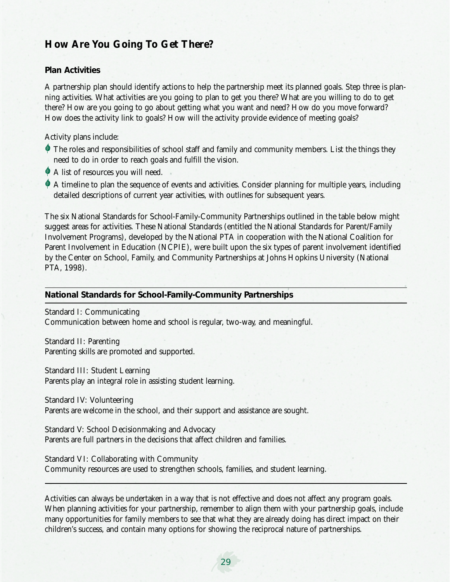#### **How Are You Going To Get There?**

#### **Plan Activities**

A partnership plan should identify actions to help the partnership meet its planned goals. Step three is planning activities. What activities are you going to plan to get you there? What are you willing to do to get there? How are you going to go about getting what you want and need? How do you move forward? How does the activity link to goals? How will the activity provide evidence of meeting goals?

Activity plans include:

- P The roles and responsibilities of school staff and family and community members. List the things they need to do in order to reach goals and fulfill the vision.
- P A list of resources you will need.
- P A timeline to plan the sequence of events and activities. Consider planning for multiple years, including detailed descriptions of current year activities, with outlines for subsequent years.

The six National Standards for School-Family-Community Partnerships outlined in the table below might suggest areas for activities. These National Standards (entitled the National Standards for Parent/Family Involvement Programs), developed by the National PTA in cooperation with the National Coalition for Parent Involvement in Education (NCPIE), were built upon the six types of parent involvement identified by the Center on School, Family, and Community Partnerships at Johns Hopkins University (National PTA, 1998).

#### **National Standards for School-Family-Community Partnerships**

Standard I: Communicating Communication between home and school is regular, two-way, and meaningful.

Standard II: Parenting Parenting skills are promoted and supported.

Standard III: Student Learning Parents play an integral role in assisting student learning.

Standard IV: Volunteering Parents are welcome in the school, and their support and assistance are sought.

Standard V: School Decisionmaking and Advocacy Parents are full partners in the decisions that affect children and families.

Standard VI: Collaborating with Community Community resources are used to strengthen schools, families, and student learning.

Activities can always be undertaken in a way that is not effective and does not affect any program goals. When planning activities for your partnership, remember to align them with your partnership goals, include many opportunities for family members to see that what they are already doing has direct impact on their children's success, and contain many options for showing the reciprocal nature of partnerships.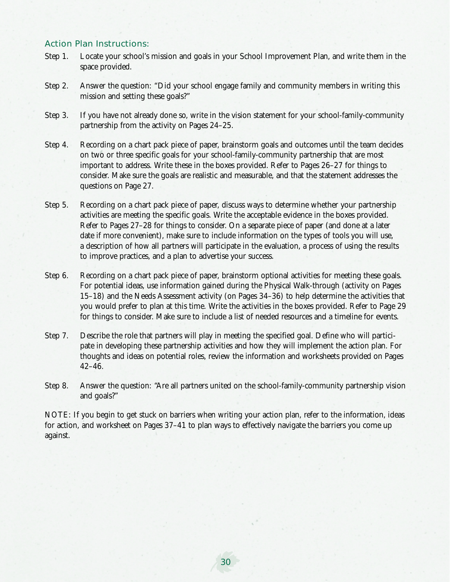#### Action Plan Instructions:

- Step 1. Locate your school's mission and goals in your School Improvement Plan, and write them in the space provided.
- Step 2. Answer the question: "Did your school engage family and community members in writing this mission and setting these goals?"
- Step 3. If you have not already done so, write in the vision statement for your school-family-community partnership from the activity on Pages 24–25.
- Step 4. Recording on a chart pack piece of paper, brainstorm goals and outcomes until the team decides on two or three specific goals for your school-family-community partnership that are most important to address. Write these in the boxes provided. Refer to Pages 26–27 for things to consider. Make sure the goals are realistic and measurable, and that the statement addresses the questions on Page 27.
- Step 5. Recording on a chart pack piece of paper, discuss ways to determine whether your partnership activities are meeting the specific goals. Write the acceptable evidence in the boxes provided. Refer to Pages 27–28 for things to consider. On a separate piece of paper (and done at a later date if more convenient), make sure to include information on the types of tools you will use, a description of how all partners will participate in the evaluation, a process of using the results to improve practices, and a plan to advertise your success.
- Step 6. Recording on a chart pack piece of paper, brainstorm optional activities for meeting these goals. For potential ideas, use information gained during the Physical Walk-through (activity on Pages 15–18) and the Needs Assessment activity (on Pages 34–36) to help determine the activities that you would prefer to plan at this time. Write the activities in the boxes provided. Refer to Page 29 for things to consider. Make sure to include a list of needed resources and a timeline for events.
- Step 7. Describe the role that partners will play in meeting the specified goal. Define who will participate in developing these partnership activities and how they will implement the action plan. For thoughts and ideas on potential roles, review the information and worksheets provided on Pages 42–46.
- Step 8. Answer the question: "Are all partners united on the school-family-community partnership vision and goals?"

NOTE: If you begin to get stuck on barriers when writing your action plan, refer to the information, ideas for action, and worksheet on Pages 37–41 to plan ways to effectively navigate the barriers you come up against.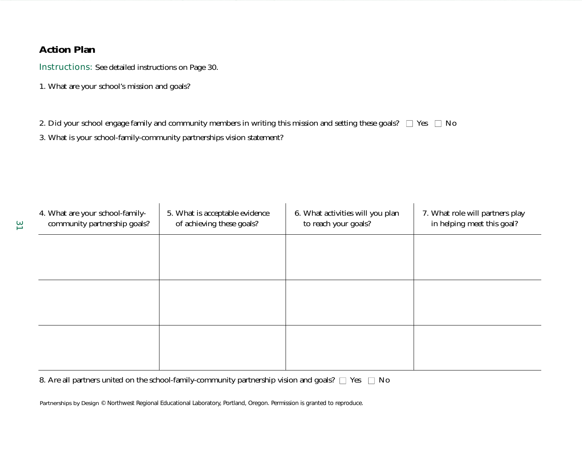## **Action Plan**

**Instructions:** See detailed instructions on Page 30.

1. What are your school's mission and goals?

2. Did your school engage family and community members in writing this mission and setting these goals?  $\Box$  Yes  $\Box$  No

3. What is your school-family-community partnerships vision statement?

| 5. What is acceptable evidence<br>of achieving these goals? | 6. What activities will you plan<br>to reach your goals? | 7. What role will partners play<br>in helping meet this goal? |
|-------------------------------------------------------------|----------------------------------------------------------|---------------------------------------------------------------|
|                                                             |                                                          |                                                               |
|                                                             |                                                          |                                                               |
|                                                             |                                                          |                                                               |
|                                                             |                                                          |                                                               |
|                                                             |                                                          |                                                               |

8. Are all partners united on the school-family-community partnership vision and goals?  $\Box$  Yes  $\Box$  No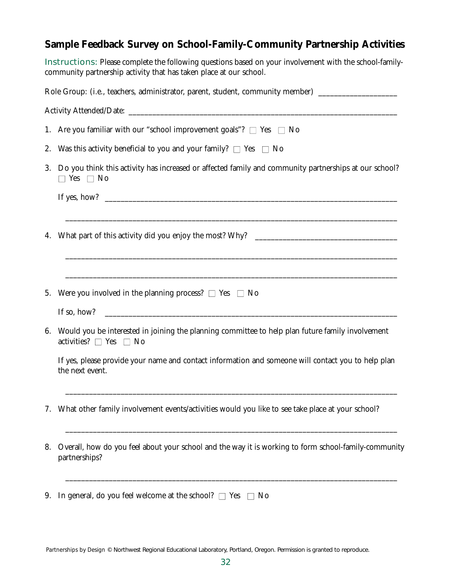## **Sample Feedback Survey on School-Family-Community Partnership Activities**

Instructions: Please complete the following questions based on your involvement with the school-familycommunity partnership activity that has taken place at our school.

| 1. Are you familiar with our "school improvement goals"? $\Box$ Yes $\Box$ No<br>Was this activity beneficial to you and your family? $\Box$ Yes $\Box$ No<br>Do you think this activity has increased or affected family and community partnerships at our school?<br>$\Box$ Yes $\Box$ No<br>If yes, how? $\qquad \qquad$<br><u> 1989 - Johann Stoff, deutscher Stoffen und der Stoffen und der Stoffen und der Stoffen und der Stoffen und de</u><br><u> 1989 - Johann Stoff, amerikansk politiker (d. 1989)</u> |
|---------------------------------------------------------------------------------------------------------------------------------------------------------------------------------------------------------------------------------------------------------------------------------------------------------------------------------------------------------------------------------------------------------------------------------------------------------------------------------------------------------------------|
|                                                                                                                                                                                                                                                                                                                                                                                                                                                                                                                     |
|                                                                                                                                                                                                                                                                                                                                                                                                                                                                                                                     |
|                                                                                                                                                                                                                                                                                                                                                                                                                                                                                                                     |
|                                                                                                                                                                                                                                                                                                                                                                                                                                                                                                                     |
|                                                                                                                                                                                                                                                                                                                                                                                                                                                                                                                     |
|                                                                                                                                                                                                                                                                                                                                                                                                                                                                                                                     |
| Were you involved in the planning process? $\square$ Yes $\square$ No<br>If so, how? $\qquad \qquad$                                                                                                                                                                                                                                                                                                                                                                                                                |
| Would you be interested in joining the planning committee to help plan future family involvement<br>activities? $\square$ Yes $\square$ No                                                                                                                                                                                                                                                                                                                                                                          |
| If yes, please provide your name and contact information and someone will contact you to help plan<br>the next event.                                                                                                                                                                                                                                                                                                                                                                                               |
| 7. What other family involvement events/activities would you like to see take place at your school?                                                                                                                                                                                                                                                                                                                                                                                                                 |
| Overall, how do you feel about your school and the way it is working to form school-family-community<br>partnerships?                                                                                                                                                                                                                                                                                                                                                                                               |
| In general, do you feel welcome at the school? $\Box$ Yes $\Box$ No                                                                                                                                                                                                                                                                                                                                                                                                                                                 |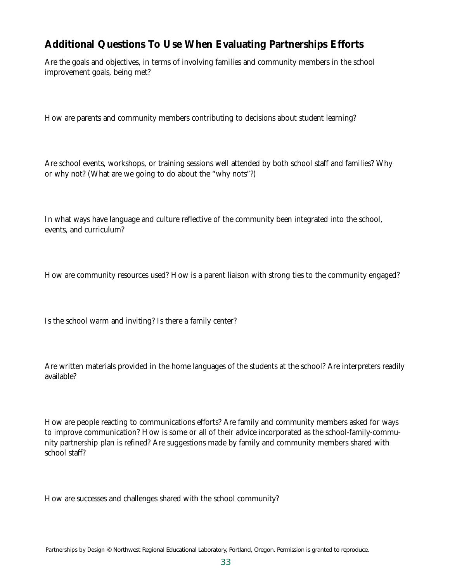## **Additional Questions To Use When Evaluating Partnerships Efforts**

Are the goals and objectives, in terms of involving families and community members in the school improvement goals, being met?

How are parents and community members contributing to decisions about student learning?

Are school events, workshops, or training sessions well attended by both school staff and families? Why or why not? (What are we going to do about the "why nots"?)

In what ways have language and culture reflective of the community been integrated into the school, events, and curriculum?

How are community resources used? How is a parent liaison with strong ties to the community engaged?

Is the school warm and inviting? Is there a family center?

Are written materials provided in the home languages of the students at the school? Are interpreters readily available?

How are people reacting to communications efforts? Are family and community members asked for ways to improve communication? How is some or all of their advice incorporated as the school-family-community partnership plan is refined? Are suggestions made by family and community members shared with school staff?

How are successes and challenges shared with the school community?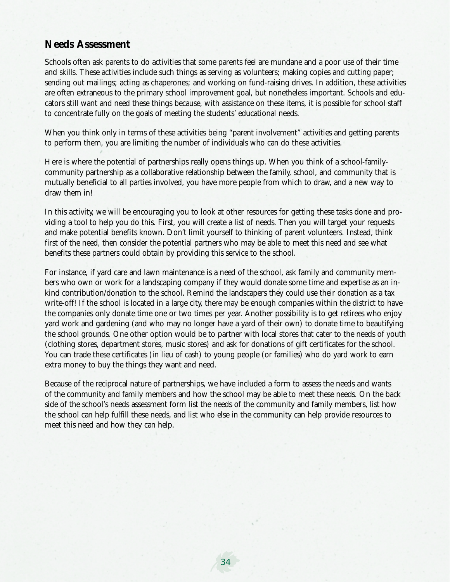#### **Needs Assessment**

Schools often ask parents to do activities that some parents feel are mundane and a poor use of their time and skills. These activities include such things as serving as volunteers; making copies and cutting paper; sending out mailings; acting as chaperones; and working on fund-raising drives. In addition, these activities are often extraneous to the primary school improvement goal, but nonetheless important. Schools and educators still want and need these things because, with assistance on these items, it is possible for school staff to concentrate fully on the goals of meeting the students' educational needs.

When you think only in terms of these activities being "parent involvement" activities and getting parents to perform them, you are limiting the number of individuals who can do these activities.

Here is where the potential of partnerships really opens things up. When you think of a school-familycommunity partnership as a collaborative relationship between the family, school, and community that is mutually beneficial to all parties involved, you have more people from which to draw, and a new way to draw them in!

In this activity, we will be encouraging you to look at other resources for getting these tasks done and providing a tool to help you do this. First, you will create a list of needs. Then you will target your requests and make potential benefits known. Don't limit yourself to thinking of parent volunteers. Instead, think first of the need, then consider the potential partners who may be able to meet this need and see what benefits these partners could obtain by providing this service to the school.

For instance, if yard care and lawn maintenance is a need of the school, ask family and community members who own or work for a landscaping company if they would donate some time and expertise as an inkind contribution/donation to the school. Remind the landscapers they could use their donation as a tax write-off! If the school is located in a large city, there may be enough companies within the district to have the companies only donate time one or two times per year. Another possibility is to get retirees who enjoy yard work and gardening (and who may no longer have a yard of their own) to donate time to beautifying the school grounds. One other option would be to partner with local stores that cater to the needs of youth (clothing stores, department stores, music stores) and ask for donations of gift certificates for the school. You can trade these certificates (in lieu of cash) to young people (or families) who do yard work to earn extra money to buy the things they want and need.

Because of the reciprocal nature of partnerships, we have included a form to assess the needs and wants of the community and family members and how the school may be able to meet these needs. On the back side of the school's needs assessment form list the needs of the community and family members, list how the school can help fulfill these needs, and list who else in the community can help provide resources to meet this need and how they can help.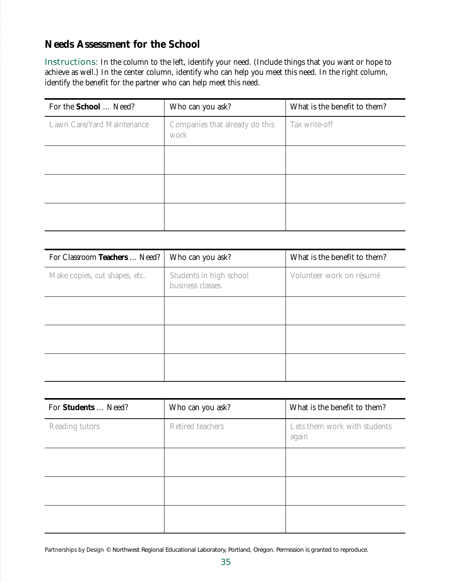## **Needs Assessment for the School**

Instructions: In the column to the left, identify your need. (Include things that you want or hope to achieve as well.) In the center column, identify who can help you meet this need. In the right column, identify the benefit for the partner who can help meet this need.

| For the School  Need?      | Who can you ask?                       | What is the benefit to them? |
|----------------------------|----------------------------------------|------------------------------|
| Lawn Care/Yard Maintenance | Companies that already do this<br>work | Tax write-off                |
|                            |                                        |                              |
|                            |                                        |                              |
|                            |                                        |                              |

| For Classroom Teachers  Need? | Who can you ask?                            | What is the benefit to them? |
|-------------------------------|---------------------------------------------|------------------------------|
| Make copies, cut shapes, etc. | Students in high school<br>business classes | Volunteer work on résumé     |
|                               |                                             |                              |
|                               |                                             |                              |
|                               |                                             |                              |

| For Students  Need? | Who can you ask? | What is the benefit to them?          |
|---------------------|------------------|---------------------------------------|
| Reading tutors      | Retired teachers | Lets them work with students<br>again |
|                     |                  |                                       |
|                     |                  |                                       |
|                     |                  |                                       |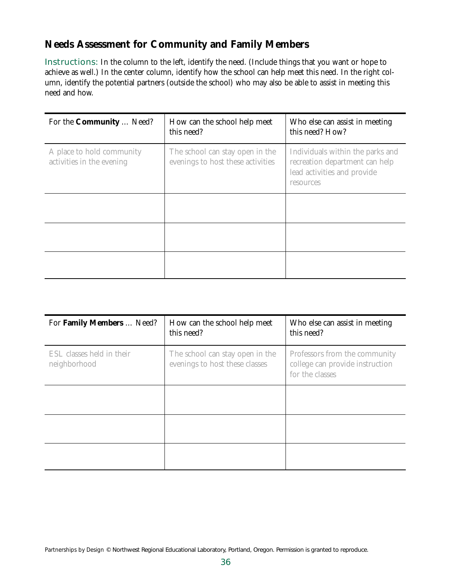## **Needs Assessment for Community and Family Members**

Instructions: In the column to the left, identify the need. (Include things that you want or hope to achieve as well.) In the center column, identify how the school can help meet this need. In the right column, identify the potential partners (outside the school) who may also be able to assist in meeting this need and how.

| For the <b>Community</b> Need?                         | How can the school help meet<br>this need?                           | Who else can assist in meeting<br>this need? How?                                                              |
|--------------------------------------------------------|----------------------------------------------------------------------|----------------------------------------------------------------------------------------------------------------|
| A place to hold community<br>activities in the evening | The school can stay open in the<br>evenings to host these activities | Individuals within the parks and<br>recreation department can help<br>lead activities and provide<br>resources |
|                                                        |                                                                      |                                                                                                                |
|                                                        |                                                                      |                                                                                                                |
|                                                        |                                                                      |                                                                                                                |

| For <b>Family Members</b> Need?           | How can the school help meet<br>this need?                        | Who else can assist in meeting<br>this need?                                        |
|-------------------------------------------|-------------------------------------------------------------------|-------------------------------------------------------------------------------------|
| ESL classes held in their<br>neighborhood | The school can stay open in the<br>evenings to host these classes | Professors from the community<br>college can provide instruction<br>for the classes |
|                                           |                                                                   |                                                                                     |
|                                           |                                                                   |                                                                                     |
|                                           |                                                                   |                                                                                     |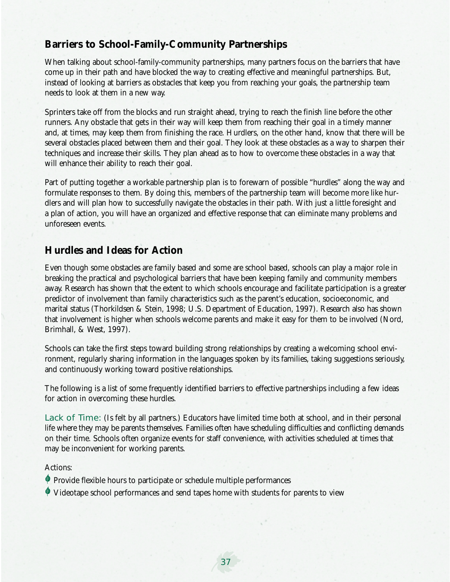#### **Barriers to School-Family-Community Partnerships**

When talking about school-family-community partnerships, many partners focus on the barriers that have come up in their path and have blocked the way to creating effective and meaningful partnerships. But, instead of looking at barriers as obstacles that keep you from reaching your goals, the partnership team needs to look at them in a new way.

Sprinters take off from the blocks and run straight ahead, trying to reach the finish line before the other runners. Any obstacle that gets in their way will keep them from reaching their goal in a timely manner and, at times, may keep them from finishing the race. Hurdlers, on the other hand, know that there will be several obstacles placed between them and their goal. They look at these obstacles as a way to sharpen their techniques and increase their skills. They plan ahead as to how to overcome these obstacles in a way that will enhance their ability to reach their goal.

Part of putting together a workable partnership plan is to forewarn of possible "hurdles" along the way and formulate responses to them. By doing this, members of the partnership team will become more like hurdlers and will plan how to successfully navigate the obstacles in their path. With just a little foresight and a plan of action, you will have an organized and effective response that can eliminate many problems and unforeseen events.

#### **Hurdles and Ideas for Action**

Even though some obstacles are family based and some are school based, schools can play a major role in breaking the practical and psychological barriers that have been keeping family and community members away. Research has shown that the extent to which schools encourage and facilitate participation is a greater predictor of involvement than family characteristics such as the parent's education, socioeconomic, and marital status (Thorkildsen & Stein, 1998; U.S. Department of Education, 1997). Research also has shown that involvement is higher when schools welcome parents and make it easy for them to be involved (Nord, Brimhall, & West, 1997).

Schools can take the first steps toward building strong relationships by creating a welcoming school environment, regularly sharing information in the languages spoken by its families, taking suggestions seriously, and continuously working toward positive relationships.

The following is a list of some frequently identified barriers to effective partnerships including a few ideas for action in overcoming these hurdles.

Lack of Time: (Is felt by all partners.) Educators have limited time both at school, and in their personal life where they may be parents themselves. Families often have scheduling difficulties and conflicting demands on their time. Schools often organize events for staff convenience, with activities scheduled at times that may be inconvenient for working parents.

Actions:

- P Provide flexible hours to participate or schedule multiple performances
- P Videotape school performances and send tapes home with students for parents to view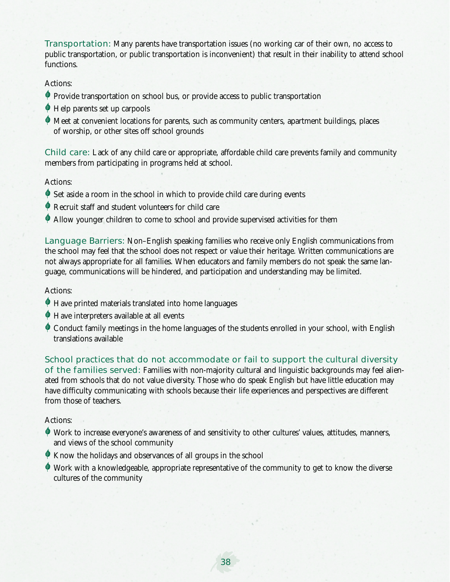**Transportation:** Many parents have transportation issues (no working car of their own, no access to public transportation, or public transportation is inconvenient) that result in their inability to attend school functions.

#### Actions:

- P Provide transportation on school bus, or provide access to public transportation
- Help parents set up carpools
- P Meet at convenient locations for parents, such as community centers, apartment buildings, places of worship, or other sites off school grounds

Child care: Lack of any child care or appropriate, affordable child care prevents family and community members from participating in programs held at school.

#### Actions:

- P Set aside a room in the school in which to provide child care during events
- P Recruit staff and student volunteers for child care
- P Allow younger children to come to school and provide supervised activities for them

Language Barriers: Non–English speaking families who receive only English communications from the school may feel that the school does not respect or value their heritage. Written communications are not always appropriate for all families. When educators and family members do not speak the same language, communications will be hindered, and participation and understanding may be limited.

#### Actions:

- P Have printed materials translated into home languages
- $\blacklozenge$  Have interpreters available at all events
- P Conduct family meetings in the home languages of the students enrolled in your school, with English translations available

School practices that do not accommodate or fail to support the cultural diversity of the families served: Families with non-majority cultural and linguistic backgrounds may feel alienated from schools that do not value diversity. Those who do speak English but have little education may have difficulty communicating with schools because their life experiences and perspectives are different from those of teachers.

#### Actions:

- P Work to increase everyone's awareness of and sensitivity to other cultures' values, attitudes, manners, and views of the school community
- P Know the holidays and observances of all groups in the school
- P Work with a knowledgeable, appropriate representative of the community to get to know the diverse cultures of the community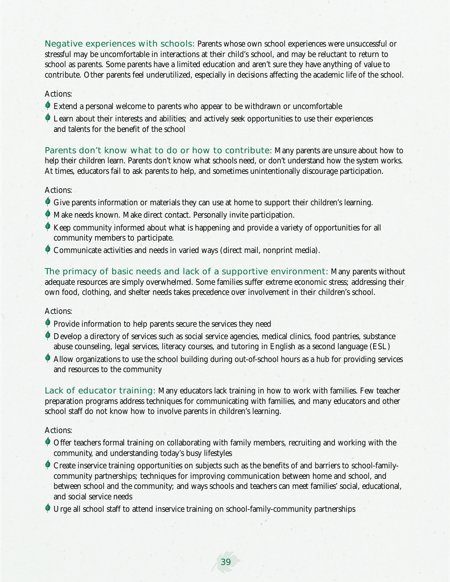Negative experiences with schools: Parents whose own school experiences were unsuccessful or stressful may be uncomfortable in interactions at their child's school, and may be reluctant to return to school as parents. Some parents have a limited education and aren't sure they have anything of value to contribute. Other parents feel underutilized, especially in decisions affecting the academic life of the school.

#### Actions:

- P Extend a personal welcome to parents who appear to be withdrawn or uncomfortable
- P Learn about their interests and abilities; and actively seek opportunities to use their experiences and talents for the benefit of the school

Parents don't know what to do or how to contribute: Many parents are unsure about how to help their children learn. Parents don't know what schools need, or don't understand how the system works. At times, educators fail to ask parents to help, and sometimes unintentionally discourage participation.

#### Actions:

- P Give parents information or materials they can use at home to support their children's learning.
- P Make needs known. Make direct contact. Personally invite participation.
- P Keep community informed about what is happening and provide a variety of opportunities for all community members to participate.
- P Communicate activities and needs in varied ways (direct mail, nonprint media).

The primacy of basic needs and lack of a supportive environment: Many parents without adequate resources are simply overwhelmed. Some families suffer extreme economic stress; addressing their own food, clothing, and shelter needs takes precedence over involvement in their children's school.

#### Actions:

- **P** Provide information to help parents secure the services they need
- P Develop a directory of services such as social service agencies, medical clinics, food pantries, substance abuse counseling, legal services, literacy courses, and tutoring in English as a second language (ESL)
- P Allow organizations to use the school building during out-of-school hours as a hub for providing services and resources to the community

Lack of educator training: Many educators lack training in how to work with families. Few teacher preparation programs address techniques for communicating with families, and many educators and other school staff do not know how to involve parents in children's learning.

Actions:

- P Offer teachers formal training on collaborating with family members, recruiting and working with the community, and understanding today's busy lifestyles
- P Create inservice training opportunities on subjects such as the benefits of and barriers to school-familycommunity partnerships; techniques for improving communication between home and school, and between school and the community; and ways schools and teachers can meet families' social, educational, and social service needs
- P Urge all school staff to attend inservice training on school-family-community partnerships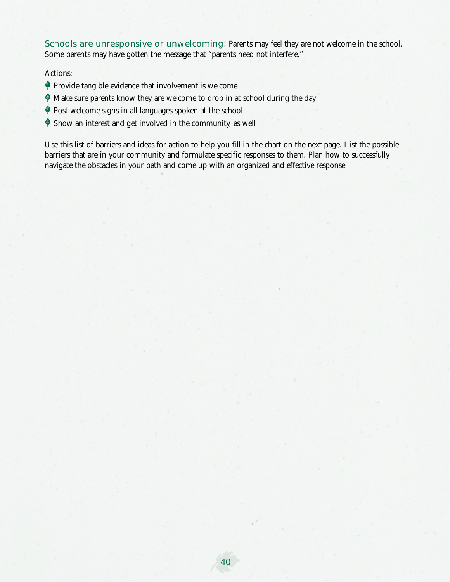Schools are unresponsive or unwelcoming: Parents may feel they are not welcome in the school. Some parents may have gotten the message that "parents need not interfere."

Actions:

- $\blacklozenge$  Provide tangible evidence that involvement is welcome
- P Make sure parents know they are welcome to drop in at school during the day
- Post welcome signs in all languages spoken at the school
- P Show an interest and get involved in the community, as well

Use this list of barriers and ideas for action to help you fill in the chart on the next page. List the possible barriers that are in your community and formulate specific responses to them. Plan how to successfully navigate the obstacles in your path and come up with an organized and effective response.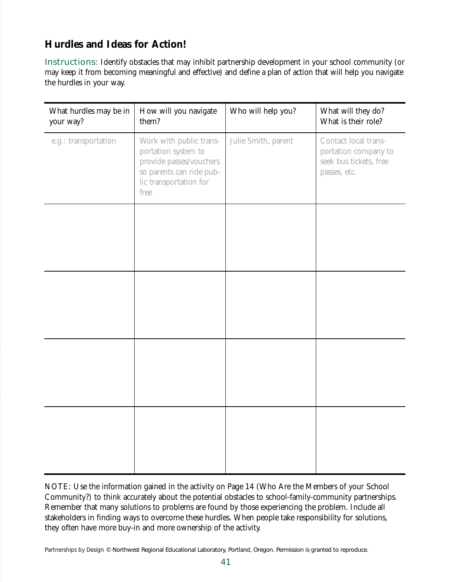## **Hurdles and Ideas for Action!**

Instructions: Identify obstacles that may inhibit partnership development in your school community (or may keep it from becoming meaningful and effective) and define a plan of action that will help you navigate the hurdles in your way.

| What hurdles may be in<br>your way? | How will you navigate<br>them?                                                                                                          | Who will help you?  | What will they do?<br>What is their role?                                              |
|-------------------------------------|-----------------------------------------------------------------------------------------------------------------------------------------|---------------------|----------------------------------------------------------------------------------------|
| e.g.: transportation                | Work with public trans-<br>portation system to<br>provide passes/vouchers<br>so parents can ride pub-<br>lic transportation for<br>free | Julie Smith, parent | Contact local trans-<br>portation company to<br>seek bus tickets, free<br>passes, etc. |
|                                     |                                                                                                                                         |                     |                                                                                        |
|                                     |                                                                                                                                         |                     |                                                                                        |
|                                     |                                                                                                                                         |                     |                                                                                        |
|                                     |                                                                                                                                         |                     |                                                                                        |

NOTE: Use the information gained in the activity on Page 14 (Who Are the Members of your School Community?) to think accurately about the potential obstacles to school-family-community partnerships. Remember that many solutions to problems are found by those experiencing the problem. Include all stakeholders in finding ways to overcome these hurdles. When people take responsibility for solutions, they often have more buy-in and more ownership of the activity.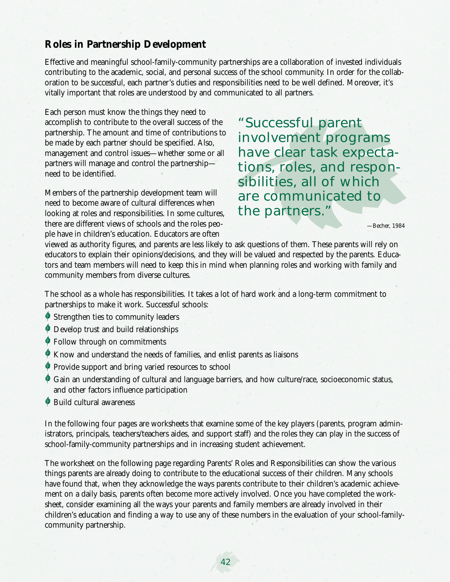#### **Roles in Partnership Development**

Effective and meaningful school-family-community partnerships are a collaboration of invested individuals contributing to the academic, social, and personal success of the school community. In order for the collaboration to be successful, each partner's duties and responsibilities need to be well defined. Moreover, it's vitally important that roles are understood by and communicated to all partners.

Each person must know the things they need to accomplish to contribute to the overall success of the partnership. The amount and time of contributions to be made by each partner should be specified. Also, management and control issues—whether some or all partners will manage and control the partnership need to be identified.

Members of the partnership development team will need to become aware of cultural differences when looking at roles and responsibilities. In some cultures, there are different views of schools and the roles people have in children's education. Educators are often

"Successful parent involvement programs have clear task expectations, roles, and responsibilities, all of which are communicated to the partners."

—Becher, 1984

viewed as authority figures, and parents are less likely to ask questions of them. These parents will rely on educators to explain their opinions/decisions, and they will be valued and respected by the parents. Educators and team members will need to keep this in mind when planning roles and working with family and community members from diverse cultures.

The school as a whole has responsibilities. It takes a lot of hard work and a long-term commitment to partnerships to make it work. Successful schools:

- P Strengthen ties to community leaders
- **P** Develop trust and build relationships
- P Follow through on commitments
- P Know and understand the needs of families, and enlist parents as liaisons
- **P** Provide support and bring varied resources to school
- P Gain an understanding of cultural and language barriers, and how culture/race, socioeconomic status, and other factors influence participation
- P Build cultural awareness

In the following four pages are worksheets that examine some of the key players (parents, program administrators, principals, teachers/teachers aides, and support staff) and the roles they can play in the success of school-family-community partnerships and in increasing student achievement.

The worksheet on the following page regarding Parents' Roles and Responsibilities can show the various things parents are already doing to contribute to the educational success of their children. Many schools have found that, when they acknowledge the ways parents contribute to their children's academic achievement on a daily basis, parents often become more actively involved. Once you have completed the worksheet, consider examining all the ways your parents and family members are already involved in their children's education and finding a way to use any of these numbers in the evaluation of your school-familycommunity partnership.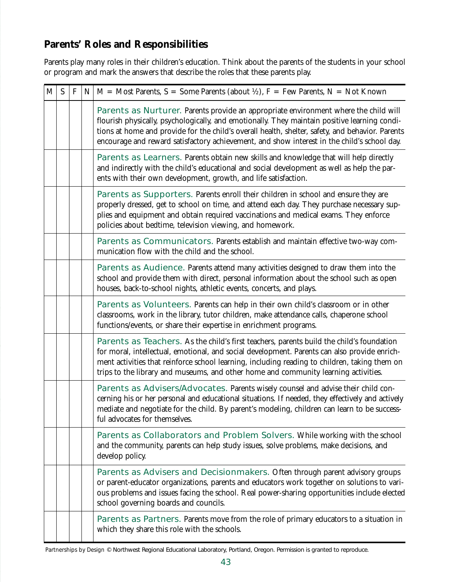## **Parents' Roles and Responsibilities**

Parents play many roles in their children's education. Think about the parents of the students in your school or program and mark the answers that describe the roles that these parents play.

| $M \mid S$ | $\mathbf{F}$ | N | $M = Most Parents, S = Some Parents (about ½), F = Few Parents, N = Not Known$                                                                                                                                                                                                                                                                                                           |
|------------|--------------|---|------------------------------------------------------------------------------------------------------------------------------------------------------------------------------------------------------------------------------------------------------------------------------------------------------------------------------------------------------------------------------------------|
|            |              |   | Parents as Nurturer. Parents provide an appropriate environment where the child will<br>flourish physically, psychologically, and emotionally. They maintain positive learning condi-<br>tions at home and provide for the child's overall health, shelter, safety, and behavior. Parents<br>encourage and reward satisfactory achievement, and show interest in the child's school day. |
|            |              |   | Parents as Learners. Parents obtain new skills and knowledge that will help directly<br>and indirectly with the child's educational and social development as well as help the par-<br>ents with their own development, growth, and life satisfaction.                                                                                                                                   |
|            |              |   | Parents as Supporters. Parents enroll their children in school and ensure they are<br>properly dressed, get to school on time, and attend each day. They purchase necessary sup-<br>plies and equipment and obtain required vaccinations and medical exams. They enforce<br>policies about bedtime, television viewing, and homework.                                                    |
|            |              |   | Parents as Communicators. Parents establish and maintain effective two-way com-<br>munication flow with the child and the school.                                                                                                                                                                                                                                                        |
|            |              |   | Parents as Audience. Parents attend many activities designed to draw them into the<br>school and provide them with direct, personal information about the school such as open<br>houses, back-to-school nights, athletic events, concerts, and plays.                                                                                                                                    |
|            |              |   | Parents as Volunteers. Parents can help in their own child's classroom or in other<br>classrooms, work in the library, tutor children, make attendance calls, chaperone school<br>functions/events, or share their expertise in enrichment programs.                                                                                                                                     |
|            |              |   | Parents as Teachers. As the child's first teachers, parents build the child's foundation<br>for moral, intellectual, emotional, and social development. Parents can also provide enrich-<br>ment activities that reinforce school learning, including reading to children, taking them on<br>trips to the library and museums, and other home and community learning activities.         |
|            |              |   | Parents as Advisers/Advocates. Parents wisely counsel and advise their child con-<br>cerning his or her personal and educational situations. If needed, they effectively and actively<br>mediate and negotiate for the child. By parent's modeling, children can learn to be success-<br>ful advocates for themselves.                                                                   |
|            |              |   | Parents as Collaborators and Problem Solvers. While working with the school<br>and the community, parents can help study issues, solve problems, make decisions, and<br>develop policy.                                                                                                                                                                                                  |
|            |              |   | Parents as Advisers and Decisionmakers. Often through parent advisory groups<br>or parent-educator organizations, parents and educators work together on solutions to vari-<br>ous problems and issues facing the school. Real power-sharing opportunities include elected<br>school governing boards and councils.                                                                      |
|            |              |   | Parents as Partners. Parents move from the role of primary educators to a situation in<br>which they share this role with the schools.                                                                                                                                                                                                                                                   |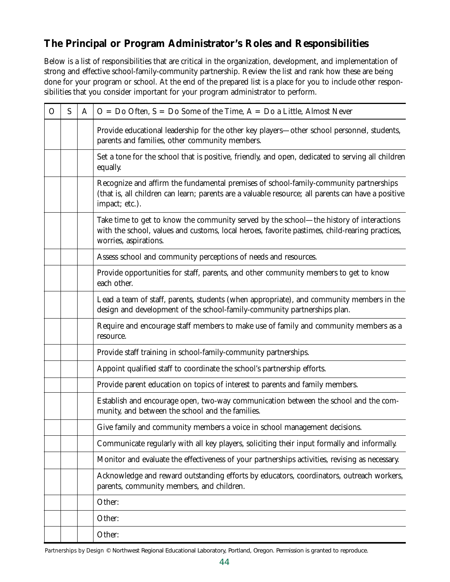## **The Principal or Program Administrator's Roles and Responsibilities**

Below is a list of responsibilities that are critical in the organization, development, and implementation of strong and effective school-family-community partnership. Review the list and rank how these are being done for your program or school. At the end of the prepared list is a place for you to include other responsibilities that you consider important for your program administrator to perform.

| O | S | A | $O = Do$ Often, $S = Do$ Some of the Time, $A = Do$ a Little, Almost Never                                                                                                                                         |
|---|---|---|--------------------------------------------------------------------------------------------------------------------------------------------------------------------------------------------------------------------|
|   |   |   | Provide educational leadership for the other key players—other school personnel, students,<br>parents and families, other community members.                                                                       |
|   |   |   | Set a tone for the school that is positive, friendly, and open, dedicated to serving all children<br>equally.                                                                                                      |
|   |   |   | Recognize and affirm the fundamental premises of school-family-community partnerships<br>(that is, all children can learn; parents are a valuable resource; all parents can have a positive<br>impact; etc.).      |
|   |   |   | Take time to get to know the community served by the school—the history of interactions<br>with the school, values and customs, local heroes, favorite pastimes, child-rearing practices,<br>worries, aspirations. |
|   |   |   | Assess school and community perceptions of needs and resources.                                                                                                                                                    |
|   |   |   | Provide opportunities for staff, parents, and other community members to get to know<br>each other.                                                                                                                |
|   |   |   | Lead a team of staff, parents, students (when appropriate), and community members in the<br>design and development of the school-family-community partnerships plan.                                               |
|   |   |   | Require and encourage staff members to make use of family and community members as a<br>resource.                                                                                                                  |
|   |   |   | Provide staff training in school-family-community partnerships.                                                                                                                                                    |
|   |   |   | Appoint qualified staff to coordinate the school's partnership efforts.                                                                                                                                            |
|   |   |   | Provide parent education on topics of interest to parents and family members.                                                                                                                                      |
|   |   |   | Establish and encourage open, two-way communication between the school and the com-<br>munity, and between the school and the families.                                                                            |
|   |   |   | Give family and community members a voice in school management decisions.                                                                                                                                          |
|   |   |   | Communicate regularly with all key players, soliciting their input formally and informally.                                                                                                                        |
|   |   |   | Monitor and evaluate the effectiveness of your partnerships activities, revising as necessary.                                                                                                                     |
|   |   |   | Acknowledge and reward outstanding efforts by educators, coordinators, outreach workers,<br>parents, community members, and children.                                                                              |
|   |   |   | Other:                                                                                                                                                                                                             |
|   |   |   | Other:                                                                                                                                                                                                             |
|   |   |   | Other:                                                                                                                                                                                                             |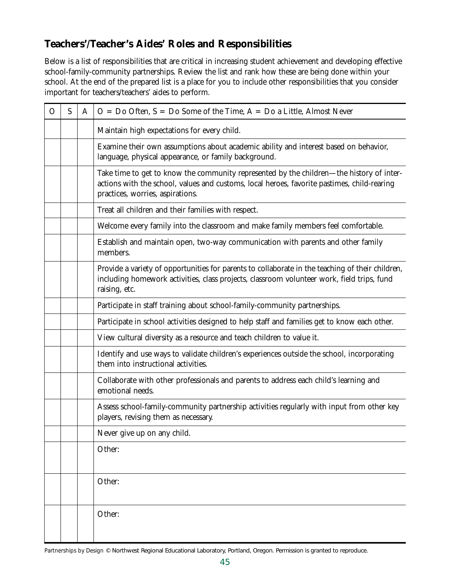## **Teachers'/Teacher's Aides' Roles and Responsibilities**

Below is a list of responsibilities that are critical in increasing student achievement and developing effective school-family-community partnerships. Review the list and rank how these are being done within your school. At the end of the prepared list is a place for you to include other responsibilities that you consider important for teachers/teachers' aides to perform.

| O | S | A | $O = Do$ Often, $S = Do$ Some of the Time, $A = Do$ a Little, Almost Never                                                                                                                                                  |
|---|---|---|-----------------------------------------------------------------------------------------------------------------------------------------------------------------------------------------------------------------------------|
|   |   |   | Maintain high expectations for every child.                                                                                                                                                                                 |
|   |   |   | Examine their own assumptions about academic ability and interest based on behavior,<br>language, physical appearance, or family background.                                                                                |
|   |   |   | Take time to get to know the community represented by the children-the history of inter-<br>actions with the school, values and customs, local heroes, favorite pastimes, child-rearing<br>practices, worries, aspirations. |
|   |   |   | Treat all children and their families with respect.                                                                                                                                                                         |
|   |   |   | Welcome every family into the classroom and make family members feel comfortable.                                                                                                                                           |
|   |   |   | Establish and maintain open, two-way communication with parents and other family<br>members.                                                                                                                                |
|   |   |   | Provide a variety of opportunities for parents to collaborate in the teaching of their children,<br>including homework activities, class projects, classroom volunteer work, field trips, fund<br>raising, etc.             |
|   |   |   | Participate in staff training about school-family-community partnerships.                                                                                                                                                   |
|   |   |   | Participate in school activities designed to help staff and families get to know each other.                                                                                                                                |
|   |   |   | View cultural diversity as a resource and teach children to value it.                                                                                                                                                       |
|   |   |   | Identify and use ways to validate children's experiences outside the school, incorporating<br>them into instructional activities.                                                                                           |
|   |   |   | Collaborate with other professionals and parents to address each child's learning and<br>emotional needs.                                                                                                                   |
|   |   |   | Assess school-family-community partnership activities regularly with input from other key<br>players, revising them as necessary.                                                                                           |
|   |   |   | Never give up on any child.                                                                                                                                                                                                 |
|   |   |   | Other:                                                                                                                                                                                                                      |
|   |   |   | Other:                                                                                                                                                                                                                      |
|   |   |   | Other:                                                                                                                                                                                                                      |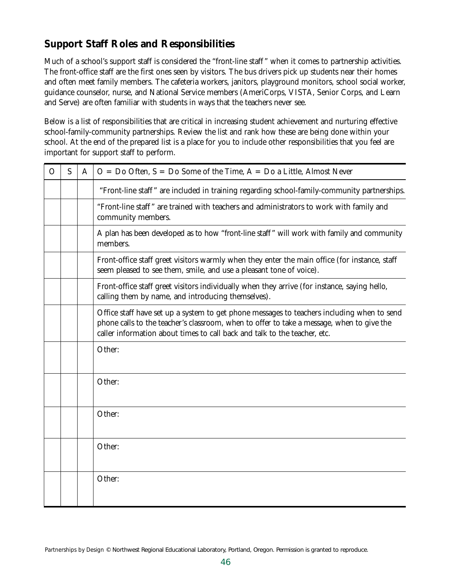## **Support Staff Roles and Responsibilities**

Much of a school's support staff is considered the "front-line staff " when it comes to partnership activities. The front-office staff are the first ones seen by visitors. The bus drivers pick up students near their homes and often meet family members. The cafeteria workers, janitors, playground monitors, school social worker, guidance counselor, nurse, and National Service members (AmeriCorps, VISTA, Senior Corps, and Learn and Serve) are often familiar with students in ways that the teachers never see.

Below is a list of responsibilities that are critical in increasing student achievement and nurturing effective school-family-community partnerships. Review the list and rank how these are being done within your school. At the end of the prepared list is a place for you to include other responsibilities that you feel are important for support staff to perform.

| O | S | A | $O = Do$ Often, $S = Do$ Some of the Time, $A = Do$ a Little, Almost Never                                                                                                                                                                                           |
|---|---|---|----------------------------------------------------------------------------------------------------------------------------------------------------------------------------------------------------------------------------------------------------------------------|
|   |   |   | "Front-line staff" are included in training regarding school-family-community partnerships.                                                                                                                                                                          |
|   |   |   | "Front-line staff" are trained with teachers and administrators to work with family and<br>community members.                                                                                                                                                        |
|   |   |   | A plan has been developed as to how "front-line staff" will work with family and community<br>members.                                                                                                                                                               |
|   |   |   | Front-office staff greet visitors warmly when they enter the main office (for instance, staff<br>seem pleased to see them, smile, and use a pleasant tone of voice).                                                                                                 |
|   |   |   | Front-office staff greet visitors individually when they arrive (for instance, saying hello,<br>calling them by name, and introducing themselves).                                                                                                                   |
|   |   |   | Office staff have set up a system to get phone messages to teachers including when to send<br>phone calls to the teacher's classroom, when to offer to take a message, when to give the<br>caller information about times to call back and talk to the teacher, etc. |
|   |   |   | Other:                                                                                                                                                                                                                                                               |
|   |   |   | Other:                                                                                                                                                                                                                                                               |
|   |   |   | Other:                                                                                                                                                                                                                                                               |
|   |   |   | Other:                                                                                                                                                                                                                                                               |
|   |   |   | Other:                                                                                                                                                                                                                                                               |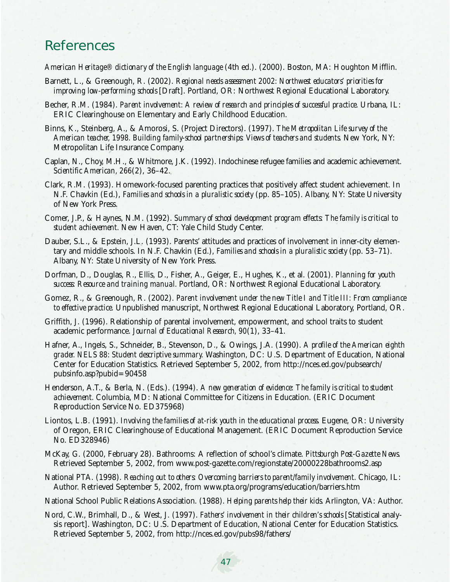## <span id="page-52-0"></span>**References**

- *American Heritage® dictionary of the English language* (4th ed.). (2000). Boston, MA: Houghton Mifflin.
- Barnett, L., & Greenough, R. (2002). *Regional needs assessment 2002: Northwest educators' priorities for improving low-performing schools* [Draft]. Portland, OR: Northwest Regional Educational Laboratory.
- Becher, R.M. (1984). *Parent involvement: A review of research and principles of successful practice.* Urbana, IL: ERIC Clearinghouse on Elementary and Early Childhood Education.
- Binns, K., Steinberg, A., & Amorosi, S. (Project Directors). (1997). *The Metropolitan Life survey of the American teacher, 1998. Building family-school partnerships: Views of teachers and students.* New York, NY: Metropolitan Life Insurance Company.
- Caplan, N., Choy, M.H., & Whitmore, J.K. (1992). Indochinese refugee families and academic achievement. *Scientific American, 266*(2), 36–42.
- Clark, R.M. (1993). Homework-focused parenting practices that positively affect student achievement. In N.F. Chavkin (Ed.), *Families and schools in a pluralistic society* (pp. 85–105). Albany, NY: State University of New York Press.
- Comer, J.P., & Haynes, N.M. (1992). *Summary of school development program effects: The family is critical to student achievement.* New Haven, CT: Yale Child Study Center.
- Dauber, S.L., & Epstein, J.L. (1993). Parents' attitudes and practices of involvement in inner-city elementary and middle schools. In N.F. Chavkin (Ed.), *Families and schools in a pluralistic society* (pp. 53–71). Albany, NY: State University of New York Press.
- Dorfman, D., Douglas, R., Ellis, D., Fisher, A., Geiger, E., Hughes, K., et al. (2001). *Planning for youth success: Resource and training manual.* Portland, OR: Northwest Regional Educational Laboratory.
- Gomez, R., & Greenough, R. (2002). *Parent involvement under the new Title I and Title III: From compliance to effective practice.* Unpublished manuscript, Northwest Regional Educational Laboratory, Portland, OR.
- Griffith, J. (1996). Relationship of parental involvement, empowerment, and school traits to student academic performance. *Journal of Educational Research, 90*(1), 33–41.
- Hafner, A., Ingels, S., Schneider, B., Stevenson, D., & Owings, J.A. (1990). *A profile of the American eighth grader. NELS 88: Student descriptive summary.* Washington, DC: U.S. Department of Education, National [Center for Education Statistics. Retrieved September 5, 2002, from http://nces.ed.gov/pubsearch/](http://nces.ed.gov/pubsearch/pubsinfo.asp?pubid=90458) pubsinfo.asp?pubid=90458
- Henderson, A.T., & Berla, N. (Eds.). (1994). *A new generation of evidence: The family is critical to student achievement.* Columbia, MD: National Committee for Citizens in Education. (ERIC Document Reproduction Service No. ED375968)
- Liontos, L.B. (1991). *Involving the families of at-risk youth in the educational process.* Eugene, OR: University of Oregon, ERIC Clearinghouse of Educational Management. (ERIC Document Reproduction Service No. ED328946)
- McKay, G. (2000, February 28). Bathrooms: A reflection of school's climate. *Pittsburgh Post-Gazette News.* Retrieved September 5, 2002, fro[m www.post-gazette.com/regionstate/20000228bathrooms2.asp](http://www.post-gazette.com/regionstate/20000228bathrooms2.asp)
- National PTA. (1998). *Reaching out to others: Overcoming barriers to parent/family involvement.* Chicago, IL: Author. Retrieved September 5, 2002, from [www.pta.org/programs/education/barriers.htm](http://www.pta.org/programs/education/barriers.htm)

National School Public Relations Association. (1988). *Helping parents help their kids.* Arlington, VA: Author.

Nord, C.W., Brimhall, D., & West, J. (1997). *Fathers' involvement in their children's schools* [Statistical analysis report]. Washington, DC: U.S. Department of Education, National Center for Education Statistics. Retrieved September 5, 2002, from<http://nces.ed.gov/pubs98/fathers/>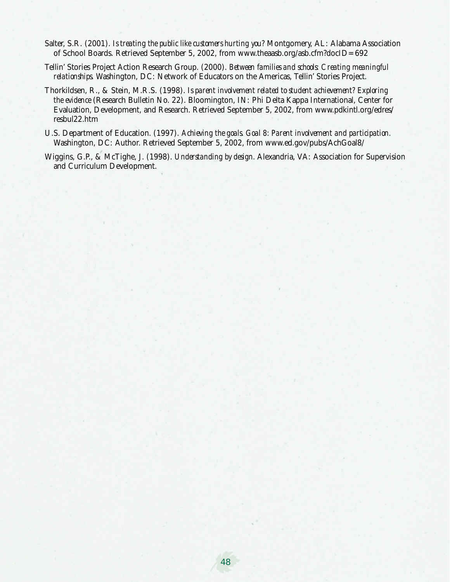- Salter, S.R. (2001). *Is treating the public like customers hurting you?* Montgomery, AL: Alabama Association of School Boards. Retrieved September 5, 2002, fro[m www.theaasb.org/asb.cfm?docID=692](http://www.theaasb.org/asb.cfm?docID=692)
- Tellin' Stories Project Action Research Group. (2000). *Between families and schools: Creating meaningful relationships.* Washington, DC: Network of Educators on the Americas, Tellin' Stories Project.
- Thorkildsen, R., & Stein, M.R.S. (1998). *Is parent involvement related to student achievement? Exploring the evidence* (Research Bulletin No. 22). Bloomington, IN: Phi Delta Kappa International, Center for [Evaluation, Development, and Research. Retrieved September 5, 2002, from www.pdkintl.org/edres/](http://www.pdkintl.org/edres/resbul22.htm) resbul22.htm
- U.S. Department of Education. (1997). *Achieving the goals. Goal 8: Parent involvement and participation.* Washington, DC: Author. Retrieved September 5, 2002, from [www.ed.gov/pubs/AchGoal8/](http://www.ed.gov/pubs/AchGoal8/)
- Wiggins, G.P., & McTighe, J. (1998). *Understanding by design.* Alexandria, VA: Association for Supervision and Curriculum Development.